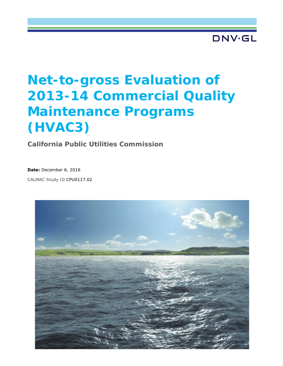DNV·GL

# **Net-to-gross Evaluation of 2013-14 Commercial Quality Maintenance Programs (HVAC3)**

**California Public Utilities Commission**

**Date:** December 6, 2016

CALMAC Study ID CPU0117.02

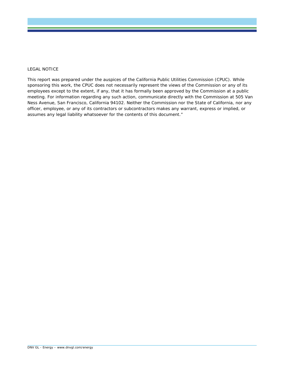#### LEGAL NOTICE

This report was prepared under the auspices of the California Public Utilities Commission (CPUC). While sponsoring this work, the CPUC does not necessarily represent the views of the Commission or any of its employees except to the extent, if any, that it has formally been approved by the Commission at a public meeting. For information regarding any such action, communicate directly with the Commission at 505 Van Ness Avenue, San Francisco, California 94102. Neither the Commission nor the State of California, nor any officer, employee, or any of its contractors or subcontractors makes any warrant, express or implied, or assumes any legal liability whatsoever for the contents of this document."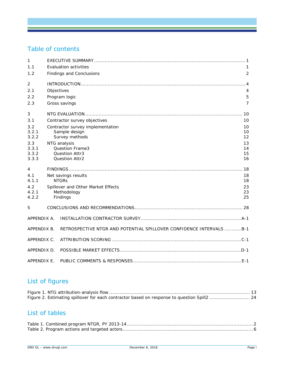# Table of contents

| 1              |                                                                      |                |
|----------------|----------------------------------------------------------------------|----------------|
| 1.1            | <b>Evaluation activities</b>                                         | 1              |
| 1.2            | Findings and Conclusions                                             | $\overline{2}$ |
| $\overline{2}$ |                                                                      |                |
| 2.1            | Objectives                                                           | 4              |
| 2.2            | Program logic                                                        | 5              |
| 2.3            | Gross savings                                                        | 7              |
| 3              |                                                                      | 10             |
| 3.1            | Contractor survey objectives                                         | 10             |
| 3.2            | Contractor survey implementation                                     | 10             |
| 3.2.1          | Sample design                                                        | 10             |
| 3.2.2          | Survey methods                                                       | 12             |
| 3.3<br>3.3.1   | NTG analysis<br>Question Frame3                                      | 13<br>14       |
| 3.3.2          | Question Attr3                                                       | 15             |
| 3.3.3          | <b>Question Attr2</b>                                                | 16             |
| 4              |                                                                      |                |
| 4.1            | Net savings results                                                  | 18             |
| 4.1.1          | <b>NTGRS</b>                                                         | 18             |
| 4.2            | Spillover and Other Market Effects                                   | 23             |
| 4.2.1          | Methodology                                                          | 23             |
| 4.2.2          | Findings                                                             | 25             |
| 5              |                                                                      |                |
| APPENDIX A.    |                                                                      |                |
| APPENDIX B.    | RETROSPECTIVE NTGR AND POTENTIAL SPILLOVER CONFIDENCE INTERVALS  B-1 |                |
| APPENDIX C.    |                                                                      |                |
| APPENDIX D.    |                                                                      |                |
| APPENDIX E.    |                                                                      |                |

# List of figures

# List of tables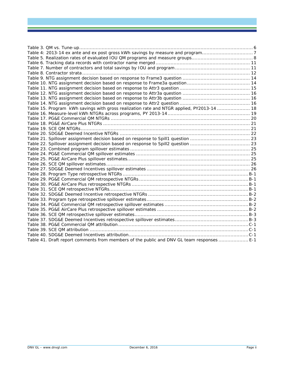| Table 15. Program kWh savings with gross realization rate and NTGR applied, PY2013-14  18 |  |
|-------------------------------------------------------------------------------------------|--|
|                                                                                           |  |
|                                                                                           |  |
|                                                                                           |  |
|                                                                                           |  |
|                                                                                           |  |
|                                                                                           |  |
|                                                                                           |  |
|                                                                                           |  |
|                                                                                           |  |
|                                                                                           |  |
|                                                                                           |  |
|                                                                                           |  |
|                                                                                           |  |
|                                                                                           |  |
|                                                                                           |  |
|                                                                                           |  |
|                                                                                           |  |
|                                                                                           |  |
|                                                                                           |  |
|                                                                                           |  |
|                                                                                           |  |
|                                                                                           |  |
|                                                                                           |  |
|                                                                                           |  |
|                                                                                           |  |
| Table 41. Draft report comments from members of the public and DNV GL team responses  E-1 |  |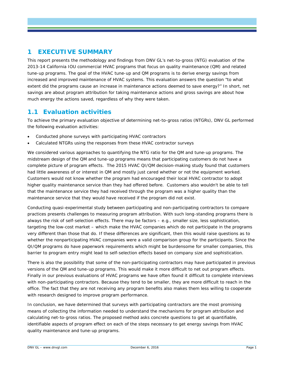# <span id="page-4-0"></span>**1 EXECUTIVE SUMMARY**

This report presents the methodology and findings from DNV GL's net-to-gross (NTG) evaluation of the 2013-14 California IOU commercial HVAC programs that focus on quality maintenance (QM) and related tune-up programs. The goal of the HVAC tune-up and QM programs is to derive energy savings from increased and improved maintenance of HVAC systems. This evaluation answers the question "to what extent did the programs cause an increase in maintenance actions deemed to save energy?" In short, net savings are about program attribution for taking maintenance actions and gross savings are about how much energy the actions saved, regardless of why they were taken.

### <span id="page-4-1"></span>**1.1 Evaluation activities**

To achieve the primary evaluation objective of determining net-to-gross ratios (NTGRs), DNV GL performed the following evaluation activities:

- Conducted phone surveys with participating HVAC contractors
- Calculated NTGRs using the responses from these HVAC contractor surveys

We considered various approaches to quantifying the NTG ratio for the QM and tune-up programs. The midstream design of the QM and tune-up programs means that participating customers do not have a complete picture of program effects. The 2015 HVAC QI/QM decision-making study found that customers had little awareness of or interest in QM and mostly just cared whether or not the equipment worked. Customers would not know whether the program had encouraged their local HVAC contractor to adopt higher quality maintenance service than they had offered before. Customers also wouldn't be able to tell that the maintenance service they had received through the program was a higher quality than the maintenance service that they would have received if the program did not exist.

Conducting quasi-experimental study between participating and non-participating contractors to compare practices presents challenges to measuring program attribution. With such long-standing programs there is always the risk of self-selection effects. There may be factors – e.g., smaller size, less sophistication, targeting the low-cost market – which make the HVAC companies which do not participate in the programs very different than those that do. If these differences are significant, then this would raise questions as to whether the nonparticipating HVAC companies were a valid comparison group for the participants. Since the QI/QM programs do have paperwork requirements which might be burdensome for smaller companies, this barrier to program entry might lead to self-selection effects based on company size and sophistication.

There is also the possibility that some of the non-participating contractors may have participated in previous versions of the QM and tune-up programs. This would make it more difficult to net out program effects. Finally in our previous evaluations of HVAC programs we have often found it difficult to complete interviews with non-participating contractors. Because they tend to be smaller, they are more difficult to reach in the office. The fact that they are not receiving any program benefits also makes them less willing to cooperate with research designed to improve program performance.

In conclusion, we have determined that surveys with participating contractors are the most promising means of collecting the information needed to understand the mechanisms for program attribution and calculating net-to-gross ratios. The proposed method asks concrete questions to get at quantifiable, identifiable aspects of program effect on each of the steps necessary to get energy savings from HVAC quality maintenance and tune-up programs.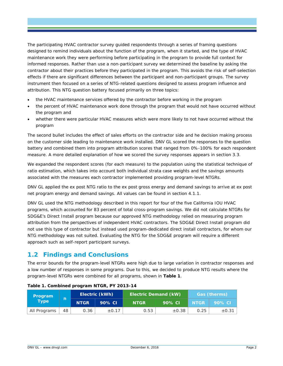The participating HVAC contractor survey guided respondents through a series of framing questions designed to remind individuals about the function of the program, when it started, and the type of HVAC maintenance work they were performing before participating in the program to provide full context for informed responses. Rather than use a non-participant survey we determined the baseline by asking the contractor about their practices before they participated in the program. This avoids the risk of self-selection effects if there are significant differences between the participant and non-participant groups. The survey instrument then focused on a series of NTG-related questions designed to assess program influence and attribution. This NTG question battery focused primarily on three topics:

- the HVAC maintenance services offered by the contractor before working in the program
- the percent of HVAC maintenance work done through the program that would not have occurred without the program and
- whether there were particular HVAC measures which were more likely to not have occurred without the program

The second bullet includes the effect of sales efforts on the contractor side and he decision making process on the customer side leading to maintenance work installed. DNV GL scored the responses to the question battery and combined them into program attribution scores that ranged from 0%-100% for each respondent measure. A more detailed explanation of how we scored the survey responses appears in section [3.3.](#page-16-0)

We expanded the respondent scores (for each measure) to the population using the statistical technique of ratio estimation, which takes into account both individual strata case weights and the savings amounts associated with the measures each contractor implemented providing program-level NTGRs.

DNV GL applied the *ex post* NTG ratio to the *ex post* gross energy and demand savings to arrive at *ex post* net program energy and demand savings. All values can be found in section [4.1.1.](#page-21-2)

DNV GL used the NTG methodology described in this report for four of the five California IOU HVAC programs, which accounted for 83 percent of total cross-program savings. We did not calculate NTGRs for SDG&E's Direct Install program because our approved NTG methodology relied on measuring program attribution from the perspectives of independent HVAC contractors. The SDG&E Direct Install program did not use this type of contractor but instead used program-dedicated direct install contractors, for whom our NTG methodology was not suited. Evaluating the NTG for the SDG&E program will require a different approach such as self-report participant surveys.

# <span id="page-5-0"></span>**1.2 Findings and Conclusions**

The error bounds for the program-level NTGRs were high due to large variation in contractor responses and a low number of responses in some programs. Due to this, we decided to produce NTG results where the program-level NTGRs were combined for all programs, shown in **[Table 1](#page-5-1)**.

| Program<br><b>Type</b> |    |             | Electric (kWh) | <b>Electric Demand (kW)</b> |            |             | Gas (therms) |
|------------------------|----|-------------|----------------|-----------------------------|------------|-------------|--------------|
|                        | n  | <b>NTGR</b> | 90% CI         | <b>NTGR</b>                 | 90% CI     | <b>NTGR</b> | 90% CI       |
| All Programs           | 48 | 0.36        | $\pm 0.17$     | 0.53                        | $\pm 0.38$ | 0.25        | $\pm 0.31$   |

#### <span id="page-5-1"></span>**Table 1. Combined program NTGR, PY 2013-14**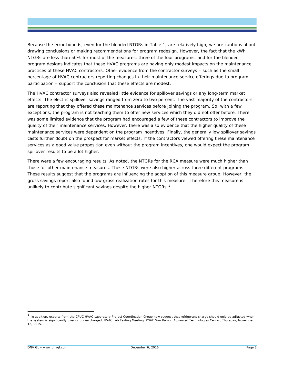Because the error bounds, even for the blended NTGRs in [Table 1,](#page-5-1) are relatively high, we are cautious about drawing conclusions or making recommendations for program redesign. However, the fact that the kWh NTGRs are less than 50% for most of the measures, three of the four programs, and for the blended program designs indicates that these HVAC programs are having only modest impacts on the maintenance practices of these HVAC contractors. Other evidence from the contractor surveys – such as the small percentage of HVAC contractors reporting changes in their maintenance service offerings due to program participation – support the conclusion that these effects are modest.

The HVAC contractor surveys also revealed little evidence for spillover savings or any long-term market effects. The electric spillover savings ranged from zero to two percent. The vast majority of the contractors are reporting that they offered these maintenance services before joining the program. So, with a few exceptions, the program is not teaching them to offer new services which they did not offer before. There was some limited evidence that the program had encouraged a few of these contractors to improve the quality of their maintenance services. However, there was also evidence that the higher quality of these maintenance services were dependent on the program incentives. Finally, the generally low spillover savings casts further doubt on the prospect for market effects. If the contractors viewed offering these maintenance services as a good value proposition even without the program incentives, one would expect the program spillover results to be a lot higher.

There were a few encouraging results. As noted, the NTGRs for the RCA measure were much higher than those for other maintenance measures. These NTGRs were also higher across three different programs. These results suggest that the programs are influencing the adoption of this measure group. However, the gross savings report also found low gross realization rates for this measure. Therefore this measure is unlikely to contribute significant savings despite the higher NTGRs.<sup>[1](#page-6-0)</sup>

<span id="page-6-0"></span>In addition, experts from the CPUC HVAC Laboratory Project Coordination Group now suggest that refrigerant charge should only be adjusted when the system is significantly over or under-charged, HVAC Lab Testing Meeting. PG&E San Ramon Advanced Technologies Center, Thursday, November 12, 2015.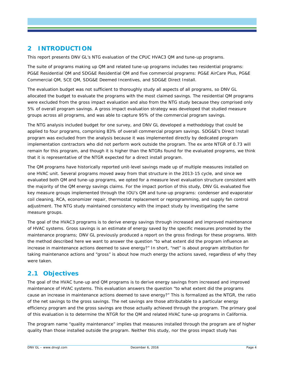# <span id="page-7-0"></span>**2 INTRODUCTION**

This report presents DNV GL's NTG evaluation of the CPUC HVAC3 QM and tune-up programs.

The suite of programs making up QM and related tune-up programs includes two residential programs: PG&E Residential QM and SDG&E Residential QM and five commercial programs: PG&E AirCare Plus, PG&E Commercial QM, SCE QM, SDG&E Deemed Incentives, and SDG&E Direct Install.

The evaluation budget was not sufficient to thoroughly study all aspects of all programs, so DNV GL allocated the budget to evaluate the programs with the most claimed savings. The residential QM programs were excluded from the gross impact evaluation and also from the NTG study because they comprised only 5% of overall program savings. A gross impact evaluation strategy was developed that studied measure groups across all programs, and was able to capture 95% of the commercial program savings.

The NTG analysis included budget for one survey, and DNV GL developed a methodology that could be applied to four programs, comprising 83% of overall commercial program savings. SDG&E's Direct Install program was excluded from the analysis because it was implemented directly by dedicated program implementation contractors who did not perform work outside the program. The *ex ante* NTGR of 0.73 will remain for this program, and though it is higher than the NTGRs found for the evaluated programs, we think that it is representative of the NTGR expected for a direct install program.

The QM programs have historically reported unit-level savings made up of multiple measures installed on one HVAC unit. Several programs moved away from that structure in the 2013-15 cycle, and since we evaluated both QM and tune-up programs, we opted for a measure level evaluation structure consistent with the majority of the QM energy savings claims. For the impact portion of this study, DNV GL evaluated five key measure groups implemented through the IOU's QM and tune-up programs: condenser and evaporator coil cleaning, RCA, economizer repair, thermostat replacement or reprogramming, and supply fan control adjustment. The NTG study maintained consistency with the impact study by investigating the same measure groups.

The goal of the HVAC3 programs is to derive energy savings through increased and improved maintenance of HVAC systems. Gross savings is an estimate of energy saved by the specific measures promoted by the maintenance programs; DNV GL previously produced a report on the gross findings for these programs. With the method described here we want to answer the question "to what extent did the program influence an increase in maintenance actions deemed to save energy?" In short, "net" is about program attribution for taking maintenance actions and "gross" is about how much energy the actions saved, regardless of why they were taken.

# <span id="page-7-1"></span>**2.1 Objectives**

The goal of the HVAC tune-up and QM programs is to derive energy savings from increased and improved maintenance of HVAC systems. This evaluation answers the question "to what extent did the programs cause an increase in maintenance actions deemed to save energy?" This is formalized as the NTGR, the ratio of the net savings to the gross savings. The net savings are those attributable to a particular energy efficiency program and the gross savings are those actually achieved through the program. The primary goal of this evaluation is to determine the NTGR for the QM and related HVAC tune-up programs in California.

The program name "quality maintenance" implies that measures installed through the program are of higher quality than those installed outside the program. Neither this study, nor the gross impact study has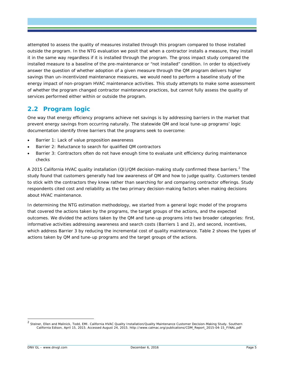attempted to assess the quality of measures installed through this program compared to those installed outside the program. In the NTG evaluation we posit that when a contractor installs a measure, they install it in the same way regardless if it is installed through the program. The gross impact study compared the installed measure to a baseline of the pre-maintenance or "not installed" condition. In order to objectively answer the question of whether adoption of a given measure through the QM program delivers higher savings than un-incentivized maintenance measures, we would need to perform a baseline study of the energy impact of non-program HVAC maintenance activities. This study attempts to make some assessment of whether the program changed contractor maintenance practices, but cannot fully assess the quality of services performed either within or outside the program.

### <span id="page-8-0"></span>**2.2 Program logic**

One way that energy efficiency programs achieve net savings is by addressing barriers in the market that prevent energy savings from occurring naturally. The statewide QM and local tune-up programs' logic documentation identify three barriers that the programs seek to overcome:

- Barrier 1: Lack of value proposition awareness
- Barrier 2: Reluctance to search for qualified QM contractors
- Barrier 3: Contractors often do not have enough time to evaluate unit efficiency during maintenance checks

A [2](#page-8-1)015 California HVAC quality installation (QI)/QM decision-making study confirmed these barriers.<sup>2</sup> The study found that customers generally had low awareness of QM and how to judge quality. Customers tended to stick with the contractors they knew rather than searching for and comparing contractor offerings. Study respondents cited cost and reliability as the two primary decision-making factors when making decisions about HVAC maintenance.

In determining the NTG estimation methodology, we started from a general logic model of the programs that covered the actions taken by the programs, the target groups of the actions, and the expected outcomes. We divided the actions taken by the QM and tune-up programs into two broader categories: first, informative activities addressing awareness and search costs (Barriers 1 and 2), and second, incentives, which address Barrier 3 by reducing the incremental cost of quality maintenance. [Table 2](#page-9-0) shows the types of actions taken by QM and tune-up programs and the target groups of the actions.

<span id="page-8-1"></span> <sup>2</sup> Steiner, Ellen and Malinick, Todd, EMI. *California HVAC Quality Installation/Quality Maintenance Customer Decision-Making Study*. Southern California Edison, April 15, 2015. Accessed August 24, 2015. http://www.calmac.org/publications/CDM\_Report\_2015-04-15\_FINAL.pdf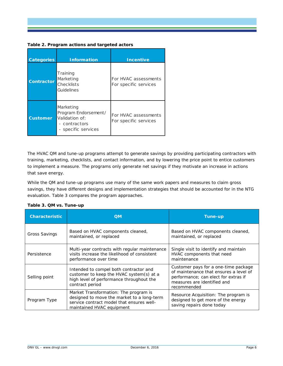#### <span id="page-9-0"></span>**Table 2. Program actions and targeted actors**

| <b>Categories</b> | <b>Information</b>                                                                          | <b>Incentive</b>                              |
|-------------------|---------------------------------------------------------------------------------------------|-----------------------------------------------|
| <b>Contractor</b> | Training<br>Marketing<br>Checklists<br>Guidelines                                           | For HVAC assessments<br>For specific services |
| <b>Customer</b>   | Marketing<br>Program Endorsement/<br>Validation of:<br>- contractors<br>- specific services | For HVAC assessments<br>For specific services |

The HVAC QM and tune-up programs attempt to generate savings by providing participating contractors with training, marketing, checklists, and contact information, and by lowering the price point to entice customers to implement a measure. The programs only generate net savings if they motivate an increase in actions that save energy.

While the QM and tune-up programs use many of the same work papers and measures to claim gross savings, they have different designs and implementation strategies that should be accounted for in the NTG evaluation. [Table 3](#page-9-1) compares the program approaches.

| <b>Characteristic</b> | <b>QM</b>                                                                                                                                                     | <b>Tune-up</b>                                                                                                                                                       |
|-----------------------|---------------------------------------------------------------------------------------------------------------------------------------------------------------|----------------------------------------------------------------------------------------------------------------------------------------------------------------------|
| Gross Savings         | Based on HVAC components cleaned,<br>maintained, or replaced                                                                                                  | Based on HVAC components cleaned,<br>maintained, or replaced                                                                                                         |
| Persistence           | Multi-year contracts with regular maintenance<br>visits increase the likelihood of consistent<br>performance over time                                        | Single visit to identify and maintain<br>HVAC components that need<br>maintenance                                                                                    |
| Selling point         | Intended to compel both contractor and<br>customer to keep the HVAC system(s) at a<br>high level of performance throughout the<br>contract period             | Customer pays for a one-time package<br>of maintenance that ensures a level of<br>performance; can elect for extras if<br>measures are identified and<br>recommended |
| Program Type          | Market Transformation: The program is<br>designed to move the market to a long-term<br>service contract model that ensures well-<br>maintained HVAC equipment | <i>Resource Acquisition:</i> The program is<br>designed to get more of the energy<br>saving repairs done today                                                       |

#### <span id="page-9-1"></span>**Table 3. QM vs. Tune-up**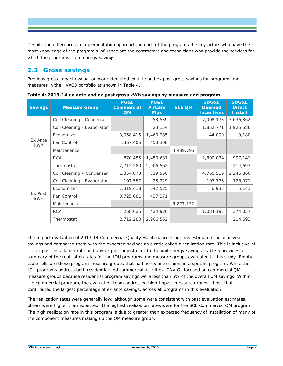Despite the differences in implementation approach, in each of the programs the key actors who have the most knowledge of the program's influence are the contractors and technicians who provide the services for which the programs claim energy savings.

# <span id="page-10-0"></span>**2.3 Gross savings**

Previous gross impact evaluation work identified *ex ante* and *ex post* gross savings for programs and measures in the HVAC3 portfolio as shown in [Table 4.](#page-10-1)

| <b>Savings</b> | <b>Measure Group</b>       | <b>PG&amp;E</b><br><b>Commercial</b><br><b>QM</b> | PG&E<br><b>AirCare</b><br><b>Plus</b> | <b>SCE QM</b> | <b>SDG&amp;E</b><br><b>Deemed</b><br><b>Incentives</b> | <b>SDG&amp;E</b><br><b>Direct</b><br><b>Install</b> |
|----------------|----------------------------|---------------------------------------------------|---------------------------------------|---------------|--------------------------------------------------------|-----------------------------------------------------|
|                | Coil Cleaning - Condenser  |                                                   | 53,539                                |               | 7,008,173                                              | 3,636,362                                           |
|                | Coil Cleaning - Evaporator |                                                   | 23,154                                |               | 1,852,771                                              | 1,925,586                                           |
|                | Economizer                 | 3,068,415                                         | 1,460,285                             |               | 44,000                                                 | 9,180                                               |
| Ex Ante<br>kWh | Fan Control                | 4,367,405                                         | 453,308                               |               |                                                        |                                                     |
|                | Maintenance                |                                                   |                                       | 4,439,795     |                                                        |                                                     |
|                | <b>RCA</b>                 | 870,455                                           | 1,450,631                             |               | 2,890,034                                              | 997,141                                             |
|                | Thermostat                 | 2,712,280                                         | 2,906,562                             |               |                                                        | 214,693                                             |
|                | Coil Cleaning - Condenser  | 1,354,873                                         | 319,956                               |               | 4,765,519                                              | 2,246,860                                           |
|                | Coil Cleaning - Evaporator | 107,587                                           | 25,229                                |               | 197,776                                                | 128,071                                             |
|                | Economizer                 | 1,319,418                                         | 642,525                               |               | 6,933                                                  | 5,141                                               |
| Ex Post<br>kWh | Fan Control                | 3,725,681                                         | 437,371                               |               |                                                        |                                                     |
|                | Maintenance                |                                                   |                                       | 5,877,152     |                                                        |                                                     |
|                | <b>RCA</b>                 | 268,625                                           | 424,926                               |               | 1,034,195                                              | 374,057                                             |
|                | Thermostat                 | 2,712,280                                         | 2,906,562                             |               |                                                        | 214,693                                             |

<span id="page-10-1"></span>**Table 4: 2013-14** *ex ante* **and** *ex post* **gross kWh savings by measure and program**

The impact evaluation of 2013-14 Commercial Quality Maintenance Programs estimated the achieved savings and compared them with the expected savings as a ratio called a realization rate. This is inclusive of the *ex post* installation rate and any *ex post* adjustment to the unit energy savings. [Table 5](#page-11-0) provides a summary of the realization rates for the IOU programs and measure groups evaluated in this study. Empty table cells are those program measure groups that had no *ex ante* claims in a specific program. While the IOU programs address both residential and commercial activities, DNV GL focused on commercial QM measure groups because residential program savings were less than 5% of the overall QM savings. Within the commercial program, the evaluation team addressed high-impact measure groups, those that contributed the largest percentage of *ex ante* savings, across all programs in this evaluation.

The realization rates were generally low; although some were consistent with past evaluation estimates, others were higher than expected. The highest realization rates were for the SCE Commercial QM program. The high realization rate in this program is due to greater than expected frequency of installation of many of the component measures making up the QM measure group.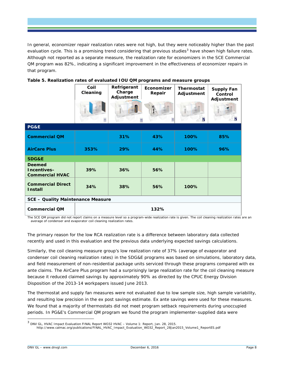In general, economizer repair realization rates were not high, but they were noticeably higher than the past evaluation cycle. This is a promising trend considering that previous studies<sup>[3](#page-11-1)</sup> have shown high failure rates. Although not reported as a separate measure, the realization rate for economizers in the SCE Commercial QM program was 82%, indicating a significant improvement in the effectiveness of economizer repairs in that program.

#### **Refrigerant Coil Economizer Thermostat Supply Fan Charge Cleaning Repair Adjustment Control Adjustment Adjustment** e 團 **PG&E Commercial QM 31% 43% 100% 85% AirCare Plus 353% 29% 44% 100% 96% SDG&E Deemed Incentives– 39% 36% 56% Commercial HVAC Commercial Direct Install 34% 38% 56% 100% SCE – Quality Maintenance Measure Commercial QM 132%**

#### <span id="page-11-0"></span>**Table 5. Realization rates of evaluated IOU QM programs and measure groups**

The SCE QM program did not report claims on a measure level so a program-wide realization rate is given. The coil cleaning realization rates are an average of condenser and evaporator coil cleaning realization rates.

The primary reason for the low RCA realization rate is a difference between laboratory data collected recently and used in this evaluation and the previous data underlying expected savings calculations.

Similarly, the coil cleaning measure group's low realization rate of 37% (average of evaporator and condenser coil cleaning realization rates) in the SDG&E programs was based on simulations, laboratory data, and field measurement of non-residential package units serviced through these programs compared with *ex ante* claims. The AirCare Plus program had a surprisingly large realization rate for the coil cleaning measure because it reduced claimed savings by approximately 90% as directed by the CPUC Energy Division Disposition of the 2013-14 workpapers issued June 2013.

The thermostat and supply fan measures were not evaluated due to low sample size, high sample variability, and resulting low precision in the *ex post* savings estimate. *Ex ante* savings were used for these measures. We found that a majority of thermostats did not meet program setback requirements during unoccupied periods. In PG&E's Commercial QM program we found the program implementer-supplied data were

<span id="page-11-1"></span><sup>&</sup>lt;sup>3</sup> DNV GL. HVAC Impact Evaluation FINAL Report WO32 HVAC – Volume 1: Report, Jan. 28, 2015.

http://www.calmac.org/publications/FINAL\_HVAC\_Impact\_Evaluation\_WO32\_Report\_28Jan2015\_Volume1\_ReportES.pdf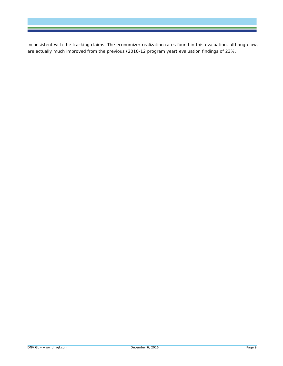inconsistent with the tracking claims. The economizer realization rates found in this evaluation, although low, are actually much improved from the previous (2010-12 program year) evaluation findings of 23%.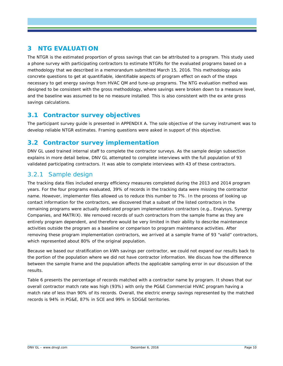# <span id="page-13-0"></span>**3 NTG EVALUATION**

The NTGR is the estimated proportion of gross savings that can be attributed to a program. This study used a phone survey with participating contractors to estimate NTGRs for the evaluated programs based on a methodology that we described in a memorandum submitted March 15, 2016. This methodology asks concrete questions to get at quantifiable, identifiable aspects of program effect on each of the steps necessary to get energy savings from HVAC QM and tune-up programs. The NTG evaluation method was designed to be consistent with the gross methodology, where savings were broken down to a measure level, and the baseline was assumed to be no measure installed. This is also consistent with the ex ante gross savings calculations.

### <span id="page-13-1"></span>**3.1 Contractor survey objectives**

The participant survey guide is presented in [APPENDIX A.](#page-33-0) The sole objective of the survey instrument was to develop reliable NTGR estimates. Framing questions were asked in support of this objective.

### <span id="page-13-2"></span>**3.2 Contractor survey implementation**

DNV GL used trained internal staff to complete the contractor surveys. As the sample design subsection explains in more detail below, DNV GL attempted to complete interviews with the full population of 93 validated participating contractors. It was able to complete interviews with 43 of these contractors.

### <span id="page-13-3"></span>3.2.1 Sample design

The tracking data files included energy efficiency measures completed during the 2013 and 2014 program years. For the four programs evaluated, 39% of records in the tracking data were missing the contractor name. However, implementer files allowed us to reduce this number to 7%. In the process of looking up contact information for the contractors, we discovered that a subset of the listed contractors in the remaining programs were actually dedicated program implementation contractors (e.g., Enalysys, Synergy Companies, and MATRIX). We removed records of such contractors from the sample frame as they are entirely program dependent, and therefore would be very limited in their ability to describe maintenance activities outside the program as a baseline or comparison to program maintenance activities. After removing these program implementation contractors, we arrived at a sample frame of 93 "valid" contractors, which represented about 80% of the original population.

Because we based our stratification on kWh savings per contractor, we could not expand our results back to the portion of the population where we did not have contractor information. We discuss how the difference between the sample frame and the population affects the applicable sampling error in our discussion of the results.

[Table 6](#page-14-0) presents the percentage of records matched with a contractor name by program. It shows that our overall contractor match rate was high (93%) with only the PG&E Commercial HVAC program having a match rate of less than 90% of its records. Overall, the electric energy savings represented by the matched records is 94% in PG&E, 87% in SCE and 99% in SDG&E territories.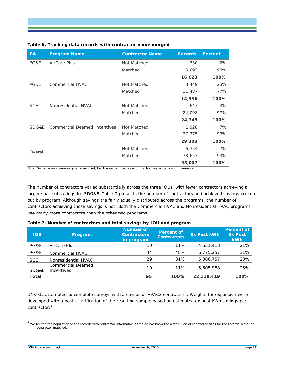| <b>PA</b>  | <b>Program Name</b>          | <b>Contractor Name</b> | <b>Records</b> | <b>Percent</b> |
|------------|------------------------------|------------------------|----------------|----------------|
| PG&E       | AirCare Plus                 | Not Matched            | 330            | 2%             |
|            |                              | Matched                | 15,693         | 98%            |
|            |                              |                        | 16,023         | 100%           |
| PG&E       | Commercial HVAC              | Not Matched            | 3,449          | 23%            |
|            |                              | Matched                | 11,487         | 77%            |
|            |                              |                        | 14,936         | 100%           |
| <b>SCE</b> | Nonresidential HVAC          | Not Matched            | 647            | 3%             |
|            |                              | Matched                | 24,098         | 97%            |
|            |                              |                        | 24,745         | 100%           |
| SDG&E      | Commercial Deemed Incentives | Not Matched            | 1,928          | 7%             |
|            |                              | Matched                | 27,375         | 93%            |
|            |                              |                        | 29,303         | 100%           |
|            |                              | Not Matched            | 6,354          | 7%             |
| Overall    |                              | Matched                | 78,653         | 93%            |
|            |                              |                        | 85,007         | 100%           |

#### <span id="page-14-0"></span>**Table 6. Tracking data records with contractor name merged**

Note: Some records were originally matched, but the name listed as a contractor was actually an implementer.

The number of contractors varied substantially across the three IOUs, with fewer contractors achieving a larger share of savings for SDG&E. [Table 7](#page-14-1) presents the number of contractors and achieved savings broken out by program. Although savings are fairly equally distributed across the programs, the number of contractors achieving those savings is not. Both the Commercial HVAC and Nonresidential HVAC programs use many more contractors than the other two programs.

| <b>TOU</b>   | Program                                | <b>Number of</b><br><b>Contractors</b><br>in program | <b>Percent of</b><br><b>Contractors</b> | <b>Ex Post kWh</b> | Percent of<br><b>Ex Post</b><br><b>kWh</b> |
|--------------|----------------------------------------|------------------------------------------------------|-----------------------------------------|--------------------|--------------------------------------------|
| PG&E         | AirCare Plus                           | 10                                                   | 11%                                     | 4,651,418          | 21%                                        |
| PG&E         | <b>Commercial HVAC</b>                 | 44                                                   | 48%                                     | 6,775,257          | 31%                                        |
| <b>SCE</b>   | Nonresidential HVAC                    | 29                                                   | 31%                                     | 5,086,757          | 23%                                        |
| SDG&E        | <b>Commercial Deemed</b><br>Incentives | 10                                                   | 11%                                     | 5,605,988          | 25%                                        |
| <b>Total</b> |                                        | 95                                                   | 100%                                    | 22.119.419         | 100%                                       |

<span id="page-14-1"></span>

| Table 7. Number of contractors and total savings by IOU and program |  |  |
|---------------------------------------------------------------------|--|--|
|                                                                     |  |  |

DNV GL attempted to complete surveys with a census of HVAC3 contractors. Weights for expansion were developed with a post-stratification of the resulting sample based on estimated *ex post* kWh savings per contractor.[4](#page-14-2)

<span id="page-14-2"></span><sup>&</sup>lt;sup>4</sup> We limited the population to the records with contractor information as we do not know the distribution of contractor sizes for the records without a contractor matched.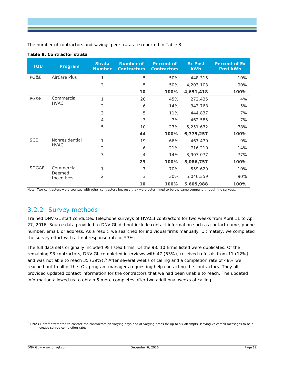The number of contractors and savings per strata are reported in [Table 8.](#page-15-1)

#### <span id="page-15-1"></span>**Table 8. Contractor strata**

| <b>IOU</b> | Program                   | <b>Strata</b><br><b>Number</b> | Number of<br><b>Contractors</b> | <b>Percent of</b><br><b>Contractors</b> | <b>Ex Post</b><br>kWh | Percent of Ex<br>Post kWh |
|------------|---------------------------|--------------------------------|---------------------------------|-----------------------------------------|-----------------------|---------------------------|
| PG&E       | AirCare Plus              | $\mathbf{1}$                   | 5                               | 50%                                     | 448,315               | 10%                       |
|            |                           | $\overline{2}$                 | 5                               | 50%                                     | 4,203,103             | 90%                       |
|            |                           |                                | 10                              | 100%                                    | 4,651,418             | 100%                      |
| PG&E       | Commercial<br><b>HVAC</b> | 1                              | 20                              | 45%                                     | 272,435               | 4%                        |
|            |                           | $\overline{2}$                 | 6                               | 14%                                     | 343,768               | 5%                        |
|            |                           | 3                              | 5                               | 11%                                     | 444,837               | 7%                        |
|            |                           | 4                              | 3                               | 7%                                      | 462,585               | 7%                        |
|            |                           | 5                              | 10                              | 23%                                     | 5,251,632             | 78%                       |
|            |                           |                                | 44                              | 100%                                    | 6,775,257             | 100%                      |
| <b>SCE</b> | Nonresidential            | 1                              | 19                              | 66%                                     | 467,470               | 9%                        |
|            | <b>HVAC</b>               | 2                              | 6                               | 21%                                     | 716,210               | 14%                       |
|            |                           | 3                              | 4                               | 14%                                     | 3,903,077             | 77%                       |
|            |                           |                                | 29                              | 100%                                    | 5,086,757             | 100%                      |
| SDG&E      | Commercial                | 1                              | 7                               | 70%                                     | 559,629               | 10%                       |
|            | Deemed<br>Incentives      | 2                              | 3                               | 30%                                     | 5,046,359             | 90%                       |
|            |                           |                                | 10                              | 100%                                    | 5,605,988             | 100%                      |

Note: Two contractors were counted with other contractors because they were determined to be the same company through the surveys.

# <span id="page-15-0"></span>3.2.2 Survey methods

Trained DNV GL staff conducted telephone surveys of HVAC3 contractors for two weeks from April 11 to April 27, 2016. Source data provided to DNV GL did not include contact information such as contact name, phone number, email, or address. As a result, we searched for individual firms manually. Ultimately, we completed the survey effort with a final response rate of 53%.

The full data sets originally included 98 listed firms. Of the 98, 10 firms listed were duplicates. Of the remaining 93 contractors, DNV GL completed interviews with 47 (53%), received refusals from 11 (12%), and was not able to reach 3[5](#page-15-2) (39%).<sup>5</sup> After several weeks of calling and a completion rate of 48% we reached out to all of the IOU program managers requesting help contacting the contractors. They all provided updated contact information for the contractors that we had been unable to reach. The updated information allowed us to obtain 5 more completes after two additional weeks of calling.

<span id="page-15-2"></span><sup>&</sup>lt;sup>5</sup> DNV GL staff attempted to contact the contractors on varying days and at varying times for up to six attempts, leaving voicemail messages to help increase survey completion rates.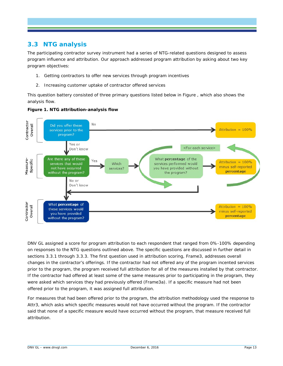# <span id="page-16-0"></span>**3.3 NTG analysis**

The participating contractor survey instrument had a series of NTG-related questions designed to assess program influence and attribution. Our approach addressed program attribution by asking about two key program objectives:

- 1. Getting contractors to offer new services through program incentives
- 2. Increasing customer uptake of contractor offered services

This question battery consisted of three primary questions listed below in [Figure ,](#page-16-1) which also shows the analysis flow.



#### <span id="page-16-1"></span>**Figure 1. NTG attribution-analysis flow**

DNV GL assigned a score for program attribution to each respondent that ranged from 0%-100% depending on responses to the NTG questions outlined above. The specific questions are discussed in further detail in sections [3.3.1](#page-17-0) through [3.3.3.](#page-19-0) The first question used in attribution scoring, Frame3, addresses overall changes in the contractor's offerings. If the contractor had not offered any of the program incented services prior to the program, the program received full attribution for all of the measures installed by that contractor. If the contractor had offered at least some of the same measures prior to participating in the program, they were asked which services they had previously offered (Frame3a). If a specific measure had not been offered prior to the program, it was assigned full attribution.

For measures that had been offered prior to the program, the attribution methodology used the response to Attr3, which asks which specific measures would not have occurred without the program. If the contractor said that none of a specific measure would have occurred without the program, that measure received full attribution.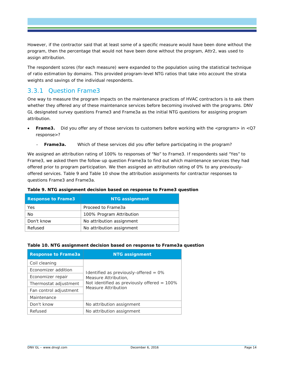However, if the contractor said that at least some of a specific measure would have been done without the program, then the percentage that would not have been done without the program, Attr2, was used to assign attribution.

The respondent scores (for each measure) were expanded to the population using the statistical technique of ratio estimation by domains. This provided program-level NTG ratios that take into account the strata weights and savings of the individual respondents.

### <span id="page-17-0"></span>3.3.1 Question Frame3

One way to measure the program impacts on the maintenance practices of HVAC contractors is to ask them whether they offered any of these maintenance services before becoming involved with the programs. DNV GL designated survey questions Frame3 and Frame3a as the initial NTG questions for assigning program attribution.

- **Frame3.** Did you offer any of those services to customers before working with the <program> in <Q7 response>?
	- **Frame3a.** Which of these services did you offer before participating in the program?

We assigned an attribution rating of 100% to responses of "No" to Frame3. If respondents said "Yes" to Frame3, we asked them the follow-up question Frame3a to find out which maintenance services they had offered prior to program participation. We then assigned an attribution rating of 0% to any previouslyoffered services. [Table 9](#page-17-1) and [Table 10](#page-17-2) show the attribution assignments for contractor responses to questions Frame3 and Frame3a.

<span id="page-17-1"></span>

| Table 9. NTG assignment decision based on response to Frame3 question |  |  |  |
|-----------------------------------------------------------------------|--|--|--|
|-----------------------------------------------------------------------|--|--|--|

| <b>Response to Frame3</b> | <b>NTG assignment</b>     |
|---------------------------|---------------------------|
| Yes                       | Proceed to Frame3a        |
| No                        | 100% Program Attribution  |
| Don't know                | No attribution assignment |
| Refused                   | No attribution assignment |
|                           |                           |

#### <span id="page-17-2"></span>**Table 10. NTG assignment decision based on response to Frame3a question**

| <b>Response to Frame3a</b> | <b>NTG assignment</b>                                                  |  |  |  |
|----------------------------|------------------------------------------------------------------------|--|--|--|
| Coil cleaning              |                                                                        |  |  |  |
| Economizer addition        | Identified as previously-offered $= 0\%$                               |  |  |  |
| Economizer repair          | Measure Attribution,<br>Not identified as previously offered $= 100\%$ |  |  |  |
| Thermostat adjustment      |                                                                        |  |  |  |
| Fan control adjustment     | <b>Measure Attribution</b>                                             |  |  |  |
| Maintenance                |                                                                        |  |  |  |
| Don't know                 | No attribution assignment                                              |  |  |  |
| Refused                    | No attribution assignment                                              |  |  |  |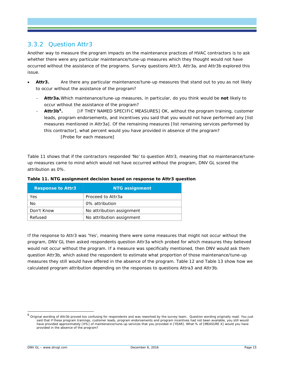# <span id="page-18-0"></span>3.3.2 Question Attr3

Another way to measure the program impacts on the maintenance practices of HVAC contractors is to ask whether there were any particular maintenance/tune-up measures which they thought would not have occurred without the assistance of the programs. Survey questions Attr3, Attr3a, and Attr3b explored this issue.

- **Attr3.** Are there any particular maintenance/tune-up measures that stand out to you as not likely to occur without the assistance of the program?
	- **Attr3a.**Which maintenance/tune-up measures, in particular, do you think would be *not* likely to occur without the assistance of the program?
	- Attr3b<sup>6</sup>. **IF THEY NAMED SPECIFIC MEASURES** OK, without the program training, customer leads, program endorsements, and incentives you said that you would not have performed any [list measures mentioned in Attr3a]. Of the remaining measures [list remaining services performed by this contractor], what percent would you have provided in absence of the program? [Probe for each measure]

[Table 11](#page-18-1) shows that if the contractors responded 'No' to question Attr3, meaning that no maintenance/tuneup measures came to mind which would not have occurred without the program, DNV GL scored the attribution as 0%.

| <b>Response to Attr3</b> | <b>NTG assignment</b>     |
|--------------------------|---------------------------|
| Yes                      | Proceed to Attr3a         |
| No                       | 0% attribution            |
| Don't Know               | No attribution assignment |
| Refused                  | No attribution assignment |

#### <span id="page-18-1"></span>**Table 11. NTG assignment decision based on response to Attr3 question**

If the response to Attr3 was 'Yes', meaning there were some measures that might not occur without the program, DNV GL then asked respondents question Attr3a which probed for which measures they believed would not occur without the program. If a measure was specifically mentioned, then DNV would ask them question Attr3b, which asked the respondent to estimate what proportion of those maintenance/tune-up measures they still would have offered in the absence of the program. [Table 12](#page-19-1) and [Table 13](#page-19-2) show how we calculated program attribution depending on the responses to questions Attra3 and Attr3b.

<span id="page-18-2"></span><sup>&</sup>lt;sup>6</sup> Original wording of Attr3b proved too confusing for respondents and was reworked by the survey team. Question wording originally read: You just said that if these program trainings, customer leads, program endorsements and program incentives had not been available, you *still* would have provided approximately [X%] of maintenance/tune-up services that you provided in [YEAR]. What % of [MEASURE X] would you have provided in the absence of the program?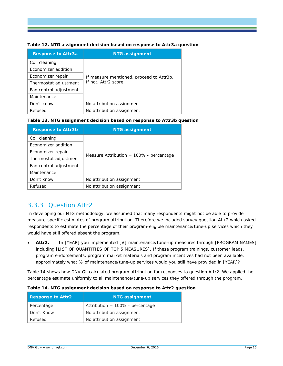<span id="page-19-1"></span>

| Table 12. NTG assignment decision based on response to Attr3a question |  |  |
|------------------------------------------------------------------------|--|--|

| <b>Response to Attr3a</b> | <b>NTG assignment</b>                    |  |  |
|---------------------------|------------------------------------------|--|--|
| Coil cleaning             |                                          |  |  |
| Economizer addition       |                                          |  |  |
| Economizer repair         | If measure mentioned, proceed to Attr3b. |  |  |
| Thermostat adjustment     | If not, Attr2 score.                     |  |  |
| Fan control adjustment    |                                          |  |  |
| Maintenance               |                                          |  |  |
| Don't know                | No attribution assignment                |  |  |
| Refused                   | No attribution assignment                |  |  |

#### <span id="page-19-2"></span>**Table 13. NTG assignment decision based on response to Attr3b question**

| <b>Response to Attr3b</b> | <b>NTG assignment</b>                      |  |  |
|---------------------------|--------------------------------------------|--|--|
| Coil cleaning             |                                            |  |  |
| Economizer addition       |                                            |  |  |
| Economizer repair         | Measure Attribution = $100\%$ - percentage |  |  |
| Thermostat adjustment     |                                            |  |  |
| Fan control adjustment    |                                            |  |  |
| Maintenance               |                                            |  |  |
| Don't know                | No attribution assignment                  |  |  |
| Refused                   | No attribution assignment                  |  |  |

# <span id="page-19-0"></span>3.3.3 Question Attr2

In developing our NTG methodology, we assumed that many respondents might not be able to provide measure-specific estimates of program attribution. Therefore we included survey question Attr2 which asked respondents to estimate the percentage of their program-eligible maintenance/tune-up services which they would have still offered absent the program.

• **Attr2.** In [YEAR] you implemented [#] maintenance/tune-up measures through [PROGRAM NAMES] including [LIST OF QUANTITIES OF TOP 5 MEASURES]. If these program trainings, customer leads, program endorsements, program market materials and program incentives had not been available, approximately what % of maintenance/tune-up services would you still have provided in [YEAR]?

[Table 14](#page-19-3) shows how DNV GL calculated program attribution for responses to question Attr2. We applied the percentage estimate uniformly to all maintenance/tune-up services they offered through the program.

| <b>Response to Attr2</b> | <b>NTG assignment</b>              |
|--------------------------|------------------------------------|
| Percentage               | Attribution = $100\%$ - percentage |
| Don't Know               | No attribution assignment          |
| Refused                  | No attribution assignment          |

#### <span id="page-19-3"></span>**Table 14. NTG assignment decision based on response to Attr2 question**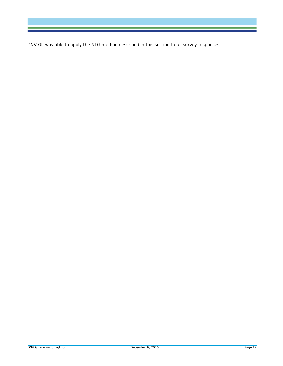DNV GL was able to apply the NTG method described in this section to all survey responses.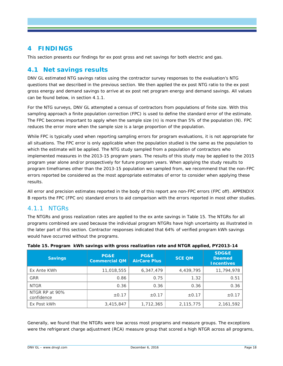# <span id="page-21-0"></span>**4 FINDINGS**

This section presents our findings for *ex post* gross and net savings for both electric and gas.

### <span id="page-21-1"></span>**4.1 Net savings results**

DNV GL estimated NTG savings ratios using the contractor survey responses to the evaluation's NTG questions that we described in the previous section. We then applied the *ex post* NTG ratio to the *ex post* gross energy and demand savings to arrive at *ex post* net program energy and demand savings. All values can be found below, in section [4.1.1.](#page-21-2)

For the NTG surveys, DNV GL attempted a census of contractors from populations of finite size. With this sampling approach a finite population correction (FPC) is used to define the standard error of the estimate. The FPC becomes important to apply when the sample size (*n*) is more than 5% of the population (*N*). FPC reduces the error more when the sample size is a large proportion of the population.

While FPC is typically used when reporting sampling errors for program evaluations, it is not appropriate for all situations. The FPC error is only applicable when the population studied is the same as the population to which the estimate will be applied. The NTG study sampled from a population of contractors who implemented measures in the 2013-15 program years. The results of this study may be applied to the 2015 program year alone and/or prospectively for future program years. When applying the study results to program timeframes other than the 2013-15 population we sampled from, we recommend that the non-FPC errors reported be considered as the most appropriate estimates of error to consider when applying these results.

All error and precision estimates reported in the body of this report are non-FPC errors (FPC off). [APPENDIX](#page-45-0)  [B](#page-45-0) reports the FPC (FPC on) standard errors to aid comparison with the errors reported in most other studies.

### <span id="page-21-2"></span>4.1.1 NTGRs

The NTGRs and gross realization rates are applied to the ex ante savings in [Table 15.](#page-21-3) The NTGRs for all programs combined are used because the individual program NTGRs have high uncertainty as illustrated in the later part of this section. Contractor responses indicated that 64% of verified program kWh savings would have occurred without the programs.

| <b>Savings</b>               | <b>PG&amp;E</b><br><b>Commercial QM</b> | PG&E<br><b>AirCare Plus</b> | <b>SCE QM</b> | <b>SDG&amp;E</b><br><b>Deemed</b><br><b>Incentives</b> |
|------------------------------|-----------------------------------------|-----------------------------|---------------|--------------------------------------------------------|
| Ex Ante KWh                  | 11,018,555                              | 6,347,479                   | 4,439,795     | 11,794,978                                             |
| <b>GRR</b>                   | 0.86                                    | 0.75                        | 1.32          | 0.51                                                   |
| <b>NTGR</b>                  | 0.36                                    | 0.36                        | 0.36          | 0.36                                                   |
| NTGR RP at 90%<br>confidence | $\pm$ 0.17                              | $\pm$ 0.17                  | $\pm$ 0.17    | $\pm$ 0.17                                             |
| Ex Post kWh                  | 3,415,847                               | 1,712,365                   | 2,115,775     | 2,161,592                                              |

#### <span id="page-21-3"></span>**Table 15. Program kWh savings with gross realization rate and NTGR applied, PY2013-14**

Generally, we found that the NTGRs were low across most programs and measure groups. The exceptions were the refrigerant charge adjustment (RCA) measure group that scored a high NTGR across all programs,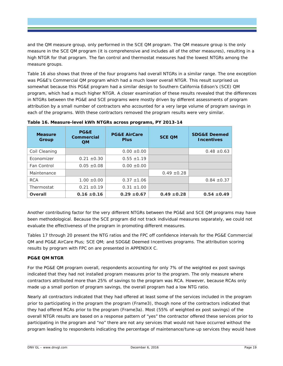and the QM measure group, only performed in the SCE QM program. The QM measure group is the only measure in the SCE QM program (it is comprehensive and includes all of the other measures), resulting in a high NTGR for that program. The fan control and thermostat measures had the lowest NTGRs among the measure groups.

[Table 16](#page-22-0) also shows that three of the four programs had overall NTGRs in a similar range. The one exception was PG&E's Commercial QM program which had a much lower overall NTGR. This result surprised us somewhat because this PG&E program had a similar design to Southern California Edison's (SCE) QM program, which had a much higher NTGR. A closer examination of these results revealed that the differences in NTGRs between the PG&E and SCE programs were mostly driven by different assessments of program attribution by a small number of contractors who accounted for a very large volume of program savings in each of the programs. With these contractors removed the program results were very similar.

| <b>Measure</b><br>Group | <b>PG&amp;E</b><br>Commercial<br><b>QM</b> | <b>PG&amp;E AirCare</b><br><b>SCE OM</b><br><b>Plus</b> |                 | <b>SDG&amp;E Deemed</b><br><b>Incentives</b> |
|-------------------------|--------------------------------------------|---------------------------------------------------------|-----------------|----------------------------------------------|
| Coil Cleaning           |                                            | $0.00 \pm 0.00$                                         |                 | $0.48 \pm 0.63$                              |
| Economizer              | $0.21 \pm 0.30$                            | $0.55 \pm 1.19$                                         |                 |                                              |
| Fan Control             | $0.05 \pm 0.08$                            | $0.00 \pm 0.00$                                         |                 |                                              |
| Maintenance             |                                            |                                                         | $0.49 \pm 0.28$ |                                              |
| <b>RCA</b>              | $1.00 \pm 0.00$                            | $0.37 \pm 1.06$                                         |                 | $0.84 \pm 0.37$                              |
| Thermostat              | $0.21 \pm 0.19$                            | $0.31 \pm 1.00$                                         |                 |                                              |
| Overall                 | $0.16 \pm 0.16$                            | $0.29 \pm 0.67$                                         | $0.49 \pm 0.28$ | $0.54 \pm 0.49$                              |

<span id="page-22-0"></span>**Table 16. Measure-level kWh NTGRs across programs, PY 2013-14**

Another contributing factor for the very different NTGRs between the PG&E and SCE QM programs may have been methodological. Because the SCE program did not track individual measures separately, we could not evaluate the effectiveness of the program in promoting different measures.

Tables 17 through 20 present the NTG ratios and the FPC off confidence intervals for the PG&E Commercial QM and PG&E AirCare Plus; SCE QM; and SDG&E Deemed Incentives programs. The attribution scoring results by program with FPC on are presented in [APPENDIX C.](#page-48-0)

#### *PG&E QM NTGR*

For the PG&E QM program overall, respondents accounting for only 7% of the weighted ex post savings indicated that they had not installed program measures prior to the program. The only measure where contractors attributed more than 25% of savings to the program was RCA. However, because RCAs only made up a small portion of program savings, the overall program had a low NTG ratio.

Nearly all contractors indicated that they had offered at least some of the services included in the program prior to participating in the program the program (Frame3), though none of the contractors indicated that they had offered RCAs prior to the program (Frame3a). Most (55% of weighted *ex post* savings) of the overall NTGR results are based on a response pattern of "yes" the contractor offered these services prior to participating in the program and "no" there are not any services that would not have occurred without the program leading to respondents indicating the percentage of maintenance/tune-up services they would have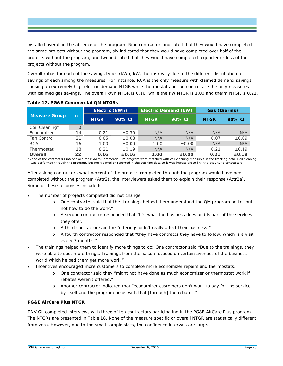installed overall in the absence of the program. Nine contractors indicated that they would have completed the same projects without the program, six indicated that they would have completed over half of the projects without the program, and two indicated that they would have completed a quarter or less of the projects without the program.

Overall ratios for each of the savings types (kWh, kW, therms) vary due to the different distribution of savings of each among the measures. For instance, RCA is the only measure with claimed demand savings causing an extremely high electric demand NTGR while thermostat and fan control are the only measures with claimed gas savings. The overall kWh NTGR is 0.16, while the kW NTGR is 1.00 and therm NTGR is 0.21.

|                      |    | Electric (kWh) |            | <b>Electric Demand (kW)</b> |            | Gas (therms) |            |
|----------------------|----|----------------|------------|-----------------------------|------------|--------------|------------|
| <b>Measure Group</b> | n  | <b>NTGR</b>    | 90% CI     | <b>NTGR</b>                 | 90% CI     | <b>NTGR</b>  | 90% CI     |
| Coil Cleaning*       |    |                |            |                             |            |              |            |
| Economizer           | 14 | 0.21           | $\pm 0.30$ | N/A                         | N/A        | N/A          | N/A        |
| Fan Control          | 21 | 0.05           | $\pm 0.08$ | N/A                         | N/A        | 0.07         | $\pm 0.09$ |
| <b>RCA</b>           | 16 | 1.00           | $\pm 0.00$ | 1.00                        | $\pm 0.00$ | N/A          | N/A        |
| Thermostat           | 18 | 0.21           | $\pm 0.19$ | N/A                         | N/A        | 0.21         | $\pm 0.19$ |
| Overall              | 22 | 0.16           | $\pm 0.16$ | 1.00                        | ±0.00      | 0.21         | ±0.18      |

<span id="page-23-0"></span>**Table 17. PG&E Commercial QM NTGRs**

\*None of the contractors interviewed for PG&E's Commercial QM program were matched with coil cleaning measures in the tracking data. Coil cleaning was performed through the program, but not claimed or reported in the tracking data so it was impossible to link the activity to contractors.

After asking contractors what percent of the projects completed through the program would have been completed without the program (Attr2), the interviewers asked them to explain their response (Attr2a). Some of these responses included:

- *The number of projects completed did not change:*
	- o One contractor said that the "trainings helped them understand the QM program better but not how to do the work."
	- o A second contractor responded that "It's what the business does and is part of the services they offer."
	- o A third contractor said the "offerings didn't really affect their business."
	- o A fourth contractor responded that "they have contracts they have to follow, which is a visit every 3 months."
- *The trainings helped them to identify more things to do*: One contractor said "Due to the trainings, they were able to spot more things. Trainings from the liaison focused on certain avenues of the business world which helped them get more work."
- *Incentives encouraged more customers to complete more economizer repairs and thermostats:*
	- o One contractor said they "might not have done as much economizer or thermostat work if rebates weren't offered."
	- o Another contractor indicated that "economizer customers don't want to pay for the service by itself and the program helps with that [through] the rebates."

#### *PG&E AirCare Plus NTGR*

DNV GL completed interviews with three of ten contractors participating in the PG&E AirCare Plus program. The NTGRs are presented in [Table 18.](#page-24-0) None of the measure specific or overall NTGR are statistically different from zero. However, due to the small sample sizes, the confidence intervals are large.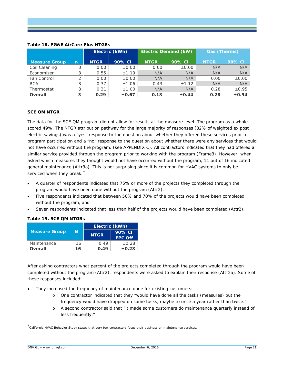|                      |   | Electric (kWh) |            | <b>Electric Demand (kW)</b> |            | Gas (Therms) |            |
|----------------------|---|----------------|------------|-----------------------------|------------|--------------|------------|
| <b>Measure Group</b> | n | <b>NTGR</b>    | 90% CI     | <b>NTGR</b>                 | 90% CI     | <b>NTGR</b>  | 90% CI     |
| Coil Cleaning        | っ | 0.00           | $\pm 0.00$ | 0.00                        | $\pm 0.00$ | N/A          | N/A        |
| Economizer           |   | 0.55           | ±1.19      | N/A                         | N/A        | N/A          | N/A        |
| Fan Control          |   | 0.00           | $\pm 0.00$ | N/A                         | N/A        | 0.00         | $\pm 0.00$ |
| <b>RCA</b>           | っ | 0.37           | ±1.06      | 0.43                        | ±1.12      | N/A          | N/A        |
| Thermostat           | 3 | 0.31           | ±1.00      | N/A                         | N/A        | 0.28         | $\pm 0.95$ |
| Overall              | 3 | 0.29           | $\pm 0.67$ | 0.18                        | $\pm 0.44$ | 0.28         | ±0.94      |

#### <span id="page-24-0"></span>**Table 18. PG&E AirCare Plus NTGRs**

#### *SCE QM NTGR*

The data for the SCE QM program did not allow for results at the measure level. The program as a whole scored 49%. The NTGR attribution pathway for the large majority of responses (82% of weighted ex post electric savings) was a "yes" response to the question about whether they offered these services prior to program participation and a "no" response to the question about whether there were any services that would not have occurred without the program. (see [APPENDIX C\)](#page-48-0). All contractors indicated that they had offered a similar service provided through the program prior to working with the program (Frame3). However, when asked which measures they thought would not have occurred without the program, 11 out of 16 indicated general maintenance (Attr3a). This is not surprising since it is common for HVAC systems to only be serviced when they break.<sup>[7](#page-24-2)</sup>

- A quarter of respondents indicated that 75% or more of the projects they completed through the program would have been done without the program (Attr2).
- Five respondents indicated that between 50% and 70% of the projects would have been completed without the program, and
- Seven respondents indicated that less than half of the projects would have been completed (Attr2).

<span id="page-24-1"></span>

|  |  |  |  | Table 19. SCE QM NTGRs |
|--|--|--|--|------------------------|
|--|--|--|--|------------------------|

|                      |    | Electric (kWh) |                          |  |  |
|----------------------|----|----------------|--------------------------|--|--|
| <b>Measure Group</b> | N  | <b>NTGR</b>    | 90% CI<br><b>FPC Off</b> |  |  |
| Maintenance          | 16 | 0.49           | ±0.28                    |  |  |
| Overall              | 16 | 0.49           | $\pm 0.28$               |  |  |

After asking contractors what percent of the projects completed through the program would have been completed without the program (Attr2), respondents were asked to explain their response (Attr2a). Some of these responses included:

- *They increased the frequency of maintenance done for existing customers:*
	- o One contractor indicated that they "would have done all the tasks (measures) but the frequency would have dropped on some tasks, maybe to once a year rather than twice."
	- o A second contractor said that "it made some customers do maintenance quarterly instead of less frequently."

<span id="page-24-2"></span> <sup>7</sup> California HVAC Behavior Study states that very few contractors focus their business on maintenance services.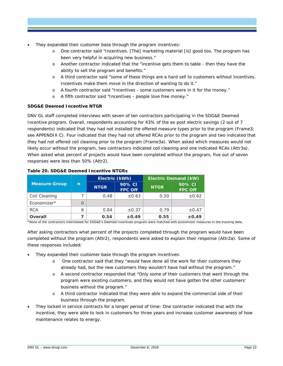- *They expanded their customer base through the program incentives:*
	- o One contractor said "Incentives. [The] marketing material [is] good too. The program has been very helpful in acquiring new business."
	- o Another contractor indicated that the "incentive gets them to table then they have the ability to sell the program and benefits."
	- o A third contractor said "some of these things are a hard sell to customers without incentives. Incentives make them move in the direction of wanting to do it."
	- o A fourth contractor said "Incentives some customers were in it for the money."
	- o A fifth contractor said "Incentives people love free money."

#### *SDG&E Deemed Incentive NTGR*

DNV GL staff completed interviews with seven of ten contractors participating in the SDG&E Deemed Incentive program. Overall, respondents accounting for 43% of the *ex post* electric savings (2 out of 7 respondents) indicated that they had not installed the offered measure types prior to the program (Frame3; see [APPENDIX C\)](#page-48-0). Four indicated that they had not offered RCAs prior to the program and two indicated that they had not offered coil cleaning prior to the program (Frame3a). When asked which measures would not likely occur without the program, two contractors indicated coil cleaning and one indicated RCAs (Attr3a). When asked what percent of projects would have been completed without the program, five out of seven responses were less than 50% (Attr2).

|                      |   |             | Electric (kWh)           |             | <b>Electric Demand (kW)</b> |
|----------------------|---|-------------|--------------------------|-------------|-----------------------------|
| <b>Measure Group</b> | n | <b>NTGR</b> | 90% CI<br><b>FPC Off</b> | <b>NTGR</b> | 90% CI<br><b>FPC Off</b>    |
| Coil Cleaning        |   | 0.48        | $\pm 0.63$               | 0.50        | $\pm 0.62$                  |
| Economizer*          |   |             |                          |             |                             |
| <b>RCA</b>           | 6 | 0.84        | $\pm 0.37$               | 0.79        | $\pm 0.47$                  |
| <b>Overall</b>       |   | 0.54        | $\pm 0.49$               | 0.55        | $\pm 0.49$                  |

#### <span id="page-25-0"></span>**Table 20. SDG&E Deemed Incentive NTGRs**

\*None of the contractors interviewed for SDG&E's Deemed Incentives program were matched with economizer measures in the tracking data.

After asking contractors what percent of the projects completed through the program would have been completed without the program (Attr2), respondents were asked to explain their response (Attr2a). Some of these responses included:

- *They expanded their customer base through the program incentives:* 
	- o One contractor said that they "would have done all the work for their customers they already had, but the new customers they wouldn't have had without the program."
	- o A second contractor responded that "Only some of their customers that went through the program were existing customers, and they would not have gotten the other customers' business without the program."
	- o A third contractor indicated that they were able to expand the commercial side of their business through the program.
- *They locked in service contracts for a longer period of time:* One contractor indicated that with the incentive, they were able to lock in customers for three years and increase customer awareness of how maintenance relates to energy.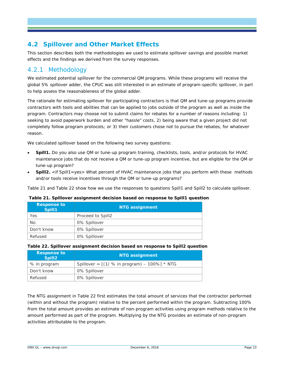# <span id="page-26-0"></span>**4.2 Spillover and Other Market Effects**

This section describes both the methodologies we used to estimate spillover savings and possible market effects and the findings we derived from the survey responses.

# <span id="page-26-1"></span>4.2.1 Methodology

We estimated potential spillover for the commercial QM programs. While these programs will receive the global 5% spillover adder, the CPUC was still interested in an estimate of program-specific spillover, in part to help assess the reasonableness of the global adder.

The rationale for estimating spillover for participating contractors is that QM and tune-up programs provide contractors with tools and abilities that can be applied to jobs outside of the program as well as inside the program. Contractors may choose not to submit claims for rebates for a number of reasons including: 1) seeking to avoid paperwork burden and other "hassle" costs, 2) being aware that a given project did not completely follow program protocols; or 3) their customers chose not to pursue the rebates, for whatever reason.

We calculated spillover based on the following two survey questions:

- **Spill1.** Do you also use QM or tune-up program training, checklists, tools, and/or protocols for HVAC maintenance jobs that do not receive a QM or tune-up program incentive, but are eligible for the QM or tune-up program?
- **Spill2.** <if Spill1=yes> What percent of HVAC maintenance jobs that you perform with these methods and/or tools receive incentives through the QM or tune-up programs?

[Table 21](#page-26-2) and [Table 22](#page-26-3) show how we use the responses to questions Spill1 and Spill2 to calculate spillover.

<span id="page-26-2"></span>**Table 21. Spillover assignment decision based on response to Spill1 question**

| <b>Response to</b><br>Spill1 | <b>NTG assignment</b> |  |  |  |
|------------------------------|-----------------------|--|--|--|
| Yes                          | Proceed to Spill2     |  |  |  |
| No                           | 0% Spillover          |  |  |  |
| Don't know                   | 0% Spillover          |  |  |  |
| Refused                      | 0% Spillover          |  |  |  |

#### <span id="page-26-3"></span>**Table 22. Spillover assignment decision based on response to Spill2 question**

| <b>Response to</b><br>Spill <sub>2</sub> | <b>NTG assignment</b>                          |  |  |  |  |
|------------------------------------------|------------------------------------------------|--|--|--|--|
| % in program                             | Spillover = $[(1/ % in program) - 100%] * NTG$ |  |  |  |  |
| Don't know                               | 0% Spillover                                   |  |  |  |  |
| Refused                                  | 0% Spillover                                   |  |  |  |  |

The NTG assignment in [Table 22](#page-26-3) first estimates the total amount of services that the contractor performed (within and without the program) relative to the percent performed within the program. Subtracting 100% from the total amount provides an estimate of non-program activities using program methods relative to the amount performed as part of the program. Multiplying by the NTG provides an estimate of non-program activities attributable to the program.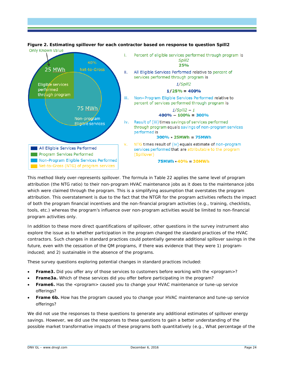

#### <span id="page-27-0"></span>**Figure 2. Estimating spillover for each contractor based on response to question Spill2 Only Known Value**

This method likely over-represents spillover. The formula in [Table 22](#page-26-3) applies the same level of program attribution (the NTG ratio) to their non-program HVAC maintenance jobs as it does to the maintenance jobs which were claimed through the program. This is a simplifying assumption that overstates the program attribution. This overstatement is due to the fact that the NTGR for the program activities reflects the impact of both the program financial incentives and the non-financial program activities (e.g., training, checklists, tools, etc.) whereas the program's influence over non-program activities would be limited to non-financial program activities only.

In addition to these more direct quantifications of spillover, other questions in the survey instrument also explore the issue as to whether participation in the program changed the standard practices of the HVAC contractors. Such changes in standard practices could potentially generate additional spillover savings in the future, even with the cessation of the QM programs, if there was evidence that they were 1) programinduced; and 2) sustainable in the absence of the programs.

These survey questions exploring potential changes in standard practices included:

- **Frame3.** Did you offer any of those services to customers before working with the <program>?
- **Frame3a.** Which of these services did you offer before participating in the program?
- **Frame6.** Has the <program> caused you to change your HVAC maintenance or tune-up service offerings?
- **Frame 6b.** How has the program caused you to change your HVAC maintenance and tune-up service offerings?

We did not use the responses to these questions to generate any additional estimates of spillover energy savings. However, we did use the responses to these questions to gain a better understanding of the possible market transformative impacts of these programs both quantitatively (e.g., What percentage of the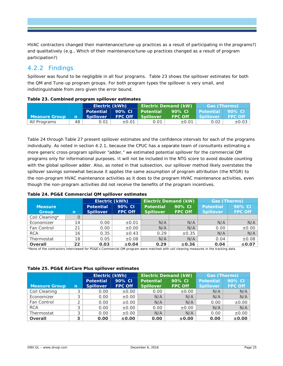HVAC contractors changed their maintenance/tune-up practices as a result of participating in the programs?) and qualitatively (e.g., Which of their maintenance/tune-up practices changed as a result of program participation?)

# <span id="page-28-0"></span>4.2.2 Findings

Spillover was found to be negligible in all four programs. [Table 23](#page-28-1) shows the spillover estimates for both the QM and Tune-up program groups. For both program types the spillover is very small, and indistinguishable from zero given the error bound.

|               |    | Electric (kWh) |                |                  | <b>Electric Demand (kW)</b> | <b>Gas (Therms)</b> |                |
|---------------|----|----------------|----------------|------------------|-----------------------------|---------------------|----------------|
|               |    | Potential      | 90% CI         | <b>Potential</b> | 90% CI                      | Potential 90% CI    |                |
| Measure Group | n  | Spillover      | <b>FPC Off</b> | Spillover        | <b>FPC Off</b>              | <b>Spillover</b>    | <b>FPC Off</b> |
| All Programs  | 48 | 0.01           | $\pm 0.01$     | 0.01             | $\pm 0.01$                  | 0.02                | $\pm 0.03$     |

#### <span id="page-28-1"></span>**Table 23. Combined program spillover estimates**

[Table 24](#page-28-2) through [Table 27](#page-29-1) present spillover estimates and the confidence intervals for each of the programs individually. As noted in section [4.2.1,](#page-26-1) because the CPUC has a separate team of consultants estimating a more generic cross-program spillover "adder," we estimated potential spillover for the commercial QM programs only for informational purposes. It will not be included in the NTG score to avoid double counting with the global spillover adder. Also, as noted in that subsection, our spillover method likely overstates the spillover savings somewhat because it applies the same assumption of program attribution (the NTGR) to the non-program HVAC maintenance activities as it does to the program HVAC maintenance activities, even though the non-program activities did not receive the benefits of the program incentives.

|                                |              | Electric (kWh)                       |                          | <b>Electric Demand (kW)</b>          |                          | <b>Gas (Therms)</b>                  |                          |
|--------------------------------|--------------|--------------------------------------|--------------------------|--------------------------------------|--------------------------|--------------------------------------|--------------------------|
| <b>Measure</b><br><b>Group</b> | $\mathsf{r}$ | <b>Potential</b><br><b>Spillover</b> | 90% CI<br><b>FPC Off</b> | <b>Potential</b><br><b>Spillover</b> | 90% CI<br><b>FPC Off</b> | <b>Potential</b><br><b>Spillover</b> | 90% CI<br><b>FPC Off</b> |
|                                |              |                                      |                          |                                      |                          |                                      |                          |
| Coil Cleaning*                 | $\Omega$     |                                      |                          |                                      |                          |                                      |                          |
| Economizer                     | 14           | 0.00                                 | $\pm 0.01$               | N/A                                  | N/A                      | N/A                                  | N/A                      |
| Fan Control                    | 21           | 0.00                                 | $\pm 0.00$               | N/A                                  | N/A                      | 0.00                                 | $\pm 0.00$               |
| <b>RCA</b>                     | 16           | 0.35                                 | $\pm 0.43$               | 0.29                                 | $\pm 0.35$               | N/A                                  | N/A                      |
| Thermostat                     | 18           | 0.05                                 | $\pm 0.08$               | N/A                                  | N/A                      | 0.04                                 | $\pm 0.08$               |
| Overall                        | 22           | 0.03                                 | $\pm 0.04$               | 0.29                                 | $\pm 0.36$               | 0.04                                 | ±0.07                    |

#### <span id="page-28-2"></span>**Table 24. PG&E Commercial QM spillover estimates**

\*None of the contractors interviewed for PG&E's Commercial QM program were matched with coil cleaning measures in the tracking data.

#### <span id="page-28-3"></span>**Table 25. PG&E AirCare Plus spillover estimates**

|                      |                | Electric (kWh)   |                | <b>Electric Demand (kW)</b> |                | <b>Gas (Therms)</b> |                |
|----------------------|----------------|------------------|----------------|-----------------------------|----------------|---------------------|----------------|
|                      |                | <b>Potential</b> | 90% CI         | <b>Potential</b>            | 90% CI         | <b>Potential</b>    | 90% CI         |
| <b>Measure Group</b> | $\overline{n}$ | <b>Spillover</b> | <b>FPC Off</b> | <b>Spillover</b>            | <b>FPC Off</b> | <b>Spillover</b>    | <b>FPC Off</b> |
| Coil Cleaning        | 3              | 0.00             | $\pm 0.00$     | 0.00                        | $\pm 0.00$     | N/A                 | N/A            |
| Economizer           | 3              | 0.00             | $\pm 0.00$     | N/A                         | N/A            | N/A                 | N/A            |
| Fan Control          | ◠              | 0.00             | $\pm 0.00$     | N/A                         | N/A            | 0.00                | $\pm 0.00$     |
| <b>RCA</b>           | ς              | 0.00             | $\pm 0.00$     | 0.00                        | $\pm 0.00$     | N/A                 | N/A            |
| Thermostat           | 3              | 0.00             | $\pm 0.00$     | N/A                         | N/A            | 0.00                | $\pm 0.00$     |
| Overall              | 3              | 0.00             | ±0.00          | 0.00                        | ±0.00          | 0.00                | $\pm 0.00$     |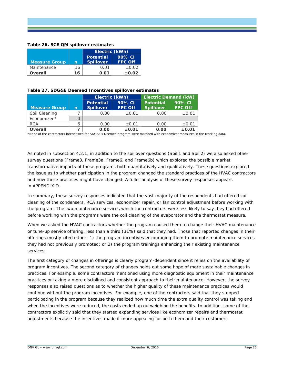#### <span id="page-29-0"></span>**Table 26. SCE QM spillover estimates**

|                      |    | Electric (kWh)   |                          |
|----------------------|----|------------------|--------------------------|
|                      |    | <b>Potential</b> | 90% CI<br><b>FPC Off</b> |
| <b>Measure Group</b> | n  | <b>Spillover</b> |                          |
| Maintenance          | 16 | 0.01             | ±0.02                    |
| Overall              | 16 | 0.01             | $\pm 0.02$               |

#### <span id="page-29-1"></span>**Table 27. SDG&E Deemed Incentives spillover estimates**

|                      |   | Electric (kWh)                       |                          | <b>Electric Demand (kW)</b>          |                          |  |
|----------------------|---|--------------------------------------|--------------------------|--------------------------------------|--------------------------|--|
| <b>Measure Group</b> | n | <b>Potential</b><br><b>Spillover</b> | 90% CI<br><b>FPC Off</b> | <b>Potential</b><br><b>Spillover</b> | 90% CI<br><b>FPC Off</b> |  |
| Coil Cleaning        |   | 0.00                                 | $\pm 0.01$               | 0.00                                 | $\pm 0.01$               |  |
| Economizer*          |   |                                      |                          |                                      |                          |  |
| <b>RCA</b>           | 6 | 0.00                                 | $\pm 0.01$               | 0.00                                 | $\pm 0.01$               |  |
| <b>Overall</b>       |   | 0.00                                 | $\pm 0.01$               | 0.00                                 | $\pm 0.01$               |  |

\*None of the contractors interviewed for SDG&E's Deemed program were matched with economizer measures in the tracking data.

As noted in subsection [4.2.1,](#page-26-1) in addition to the spillover questions (Spill1 and Spill2) we also asked other survey questions (Frame3, Frame3a, Frame6, and Frame6b) which explored the possible market transformative impacts of these programs both quantitatively and qualitatively. These questions explored the issue as to whether participation in the program changed the standard practices of the HVAC contractors and how these practices might have changed. A fuller analysis of these survey responses appears in [APPENDIX D.](#page-49-0)

In summary, these survey responses indicated that the vast majority of the respondents had offered coil cleaning of the condensers, RCA services, economizer repair, or fan control adjustment before working with the program. The two maintenance services which the contractors were less likely to say they had offered before working with the programs were the coil cleaning of the evaporator and the thermostat measure.

When we asked the HVAC contractors whether the program caused them to change their HVAC maintenance or tune-up service offering, less than a third (31%) said that they had. Those that reported changes in their offerings mostly cited either: 1) the program incentives encouraging them to promote maintenance services they had not previously promoted; or 2) the program trainings enhancing their existing maintenance services.

The first category of changes in offerings is clearly program-dependent since it relies on the availability of program incentives. The second category of changes holds out some hope of more sustainable changes in practices. For example, some contractors mentioned using more diagnostic equipment in their maintenance practices or taking a more disciplined and consistent approach to their maintenance. However, the survey responses also raised questions as to whether the higher quality of these maintenance practices would continue without the program incentives. For example, one of the contractors said that they stopped participating in the program because they realized how much time the extra quality control was taking and when the incentives were reduced, the costs ended up outweighing the benefits. In addition, some of the contractors explicitly said that they started expanding services like economizer repairs and thermostat adjustments because the incentives made it more appealing for both them and their customers.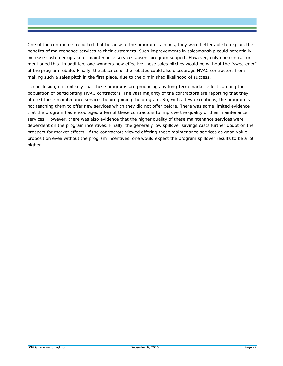One of the contractors reported that because of the program trainings, they were better able to explain the benefits of maintenance services to their customers. Such improvements in salesmanship could potentially increase customer uptake of maintenance services absent program support. However, only one contractor mentioned this. In addition, one wonders how effective these sales pitches would be without the "sweetener" of the program rebate. Finally, the absence of the rebates could also discourage HVAC contractors from making such a sales pitch in the first place, due to the diminished likelihood of success.

In conclusion, it is unlikely that these programs are producing any long-term market effects among the population of participating HVAC contractors. The vast majority of the contractors are reporting that they offered these maintenance services before joining the program. So, with a few exceptions, the program is not teaching them to offer new services which they did not offer before. There was some limited evidence that the program had encouraged a few of these contractors to improve the quality of their maintenance services. However, there was also evidence that the higher quality of these maintenance services were dependent on the program incentives. Finally, the generally low spillover savings casts further doubt on the prospect for market effects. If the contractors viewed offering these maintenance services as good value proposition even without the program incentives, one would expect the program spillover results to be a lot higher.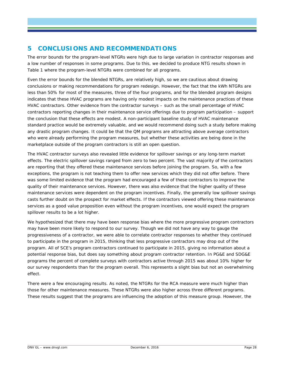# <span id="page-31-0"></span>**5 CONCLUSIONS AND RECOMMENDATIONS**

The error bounds for the program-level NTGRs were high due to large variation in contractor responses and a low number of responses in some programs. Due to this, we decided to produce NTG results shown in [Table 1](#page-5-1) where the program-level NTGRs were combined for all programs.

Even the error bounds for the blended NTGRs, are relatively high, so we are cautious about drawing conclusions or making recommendations for program redesign. However, the fact that the kWh NTGRs are less than 50% for most of the measures, three of the four programs, and for the blended program designs indicates that these HVAC programs are having only modest impacts on the maintenance practices of these HVAC contractors. Other evidence from the contractor surveys – such as the small percentage of HVAC contractors reporting changes in their maintenance service offerings due to program participation – support the conclusion that these effects are modest. A non-participant baseline study of HVAC maintenance standard practice would be extremely valuable, and we would recommend doing such a study before making any drastic program changes. It could be that the QM programs are attracting above average contractors who were already performing the program measures, but whether these activities are being done in the marketplace outside of the program contractors is still an open question.

The HVAC contractor surveys also revealed little evidence for spillover savings or any long-term market effects. The electric spillover savings ranged from zero to two percent. The vast majority of the contractors are reporting that they offered these maintenance services before joining the program. So, with a few exceptions, the program is not teaching them to offer new services which they did not offer before. There was some limited evidence that the program had encouraged a few of these contractors to improve the quality of their maintenance services. However, there was also evidence that the higher quality of these maintenance services were dependent on the program incentives. Finally, the generally low spillover savings casts further doubt on the prospect for market effects. If the contractors viewed offering these maintenance services as a good value proposition even without the program incentives, one would expect the program spillover results to be a lot higher.

We hypothesized that there may have been response bias where the more progressive program contractors may have been more likely to respond to our survey. Though we did not have any way to gauge the progressiveness of a contractor, we were able to correlate contractor responses to whether they continued to participate in the program in 2015, thinking that less progressive contractors may drop out of the program. All of SCE's program contractors continued to participate in 2015, giving no information about a potential response bias, but does say something about program contractor retention. In PG&E and SDG&E programs the percent of complete surveys with contractors active through 2015 was about 10% higher for our survey respondents than for the program overall. This represents a slight bias but not an overwhelming effect.

There were a few encouraging results. As noted, the NTGRs for the RCA measure were much higher than those for other maintenance measures. These NTGRs were also higher across three different programs. These results suggest that the programs are influencing the adoption of this measure group. However, the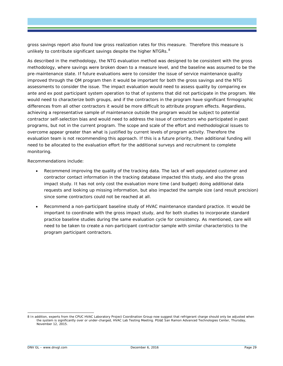gross savings report also found low gross realization rates for this measure. Therefore this measure is unlikely to contribute significant savings despite the higher NTGRs.<sup>[8](#page-32-0)</sup>

As described in the methodology, the NTG evaluation method was designed to be consistent with the gross methodology, where savings were broken down to a measure level, and the baseline was assumed to be the pre-maintenance state. If future evaluations were to consider the issue of service maintenance quality improved through the QM program then it would be important for both the gross savings and the NTG assessments to consider the issue. The impact evaluation would need to assess quality by comparing ex ante and ex post participant system operation to that of systems that did not participate in the program. We would need to characterize both groups, and if the contractors in the program have significant firmographic differences from all other contractors it would be more difficult to attribute program effects. Regardless, achieving a representative sample of maintenance outside the program would be subject to potential contractor self-selection bias and would need to address the issue of contractors who participated in past programs, but not in the current program. The scope and scale of the effort and methodological issues to overcome appear greater than what is justified by current levels of program activity. Therefore the evaluation team is not recommending this approach. If this is a future priority, then additional funding will need to be allocated to the evaluation effort for the additional surveys and recruitment to complete monitoring.

Recommendations include:

- Recommend improving the quality of the tracking data. The lack of well-populated customer and contractor contact information in the tracking database impacted this study, and also the gross impact study. It has not only cost the evaluation more time (and budget) doing additional data requests and looking up missing information, but also impacted the sample size (and result precision) since some contractors could not be reached at all.
- Recommend a non-participant baseline study of HVAC maintenance standard practice. It would be important to coordinate with the gross impact study, and for both studies to incorporate standard practice baseline studies during the same evaluation cycle for consistency. As mentioned, care will need to be taken to create a non-participant contractor sample with similar characteristics to the program participant contractors.

<span id="page-32-0"></span> <sup>8</sup> In addition, experts from the CPUC HVAC Laboratory Project Coordination Group now suggest that refrigerant charge should only be adjusted when the system is significantly over or under-charged, HVAC Lab Testing Meeting. PG&E San Ramon Advanced Technologies Center, Thursday, November 12, 2015.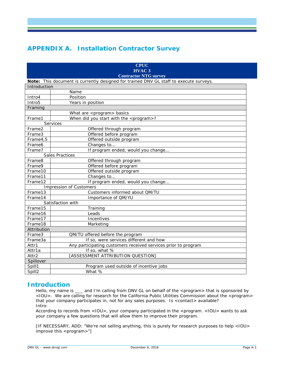# <span id="page-33-0"></span>**APPENDIX A. Installation Contractor Survey**

|                                                                                        | <b>CPUC</b><br><b>HVAC 3</b><br><b>Contractor NTG survey</b>   |  |  |  |  |  |
|----------------------------------------------------------------------------------------|----------------------------------------------------------------|--|--|--|--|--|
| Note: This document is currently designed for trained DNV GL staff to execute surveys. |                                                                |  |  |  |  |  |
| Introduction                                                                           |                                                                |  |  |  |  |  |
|                                                                                        | Name                                                           |  |  |  |  |  |
| Intro4                                                                                 | Position                                                       |  |  |  |  |  |
| Intro <sub>5</sub>                                                                     | Years in position                                              |  |  |  |  |  |
| Framing                                                                                |                                                                |  |  |  |  |  |
|                                                                                        | What are <program> basics</program>                            |  |  |  |  |  |
| Frame1                                                                                 | When did you start with the <program>?</program>               |  |  |  |  |  |
|                                                                                        | Services                                                       |  |  |  |  |  |
| Frame2                                                                                 | Offered through program                                        |  |  |  |  |  |
| Frame3                                                                                 | Offered before program                                         |  |  |  |  |  |
| Frame4,5                                                                               | Offered outside program                                        |  |  |  |  |  |
| Frame <sub>6</sub>                                                                     | Changes to                                                     |  |  |  |  |  |
| Frame7                                                                                 | If program ended, would you change                             |  |  |  |  |  |
|                                                                                        | <b>Sales Practices</b>                                         |  |  |  |  |  |
| Frame8                                                                                 | Offered through program                                        |  |  |  |  |  |
| Frame9                                                                                 | Offered before program                                         |  |  |  |  |  |
| Frame10                                                                                | Offered outside program                                        |  |  |  |  |  |
| Frame11                                                                                | Changes to                                                     |  |  |  |  |  |
| Frame12                                                                                | If program ended, would you change                             |  |  |  |  |  |
|                                                                                        | <b>Impression of Customers</b>                                 |  |  |  |  |  |
| Frame13                                                                                | Customers informed about QM/TU                                 |  |  |  |  |  |
| Frame14                                                                                | Importance of QM/YU                                            |  |  |  |  |  |
|                                                                                        | Satisfaction with                                              |  |  |  |  |  |
| Frame15                                                                                | Training                                                       |  |  |  |  |  |
| Frame16                                                                                | Leads                                                          |  |  |  |  |  |
| Frame17                                                                                | Incentives                                                     |  |  |  |  |  |
| Frame18                                                                                | Marketing                                                      |  |  |  |  |  |
| Attribution                                                                            |                                                                |  |  |  |  |  |
| Frame3                                                                                 | QM/TU offered before the program                               |  |  |  |  |  |
| Frame3a                                                                                | If so, were services different and how                         |  |  |  |  |  |
| Attr1                                                                                  | Any participating customers received services prior to program |  |  |  |  |  |
| Attr1a                                                                                 | If so, what %                                                  |  |  |  |  |  |
| Attr2                                                                                  | [ASSESSMENT ATTRIBUTION QUESTION]                              |  |  |  |  |  |
| Spillover                                                                              |                                                                |  |  |  |  |  |
| Spill1                                                                                 | Program used outside of incentive jobs                         |  |  |  |  |  |
| Spill <sub>2</sub>                                                                     | What %                                                         |  |  |  |  |  |

### **Introduction**

Hello, my name is \_\_\_ and I'm calling from DNV GL on behalf of the <program> that is sponsored by <IOU>. We are calling for research for the California Public Utilities Commission about the <program> that your company participates in, not for any sales purposes. Is <contact> available? Intro:

According to records from <IOU>, your company participated in the <program. <IOU> wants to ask your company a few questions that will allow them to improve their program.

[IF NECESSARY, ADD: "We're not selling anything, this is purely for research purposes to help <IOU> improve this <program>"]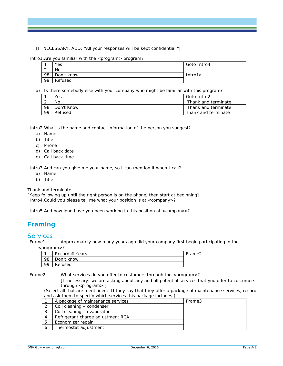[IF NECESSARY, ADD: "All your responses will be kept confidential."]

Intro1. Are you familiar with the <program> program?

|                 | Yes        | Goto Intro4. |
|-----------------|------------|--------------|
| $\sqrt{2}$<br>∼ | No         |              |
| -98             | Don't know | Intro1a      |
| 99              | Refused    |              |

a) Is there somebody else with your company who might be familiar with this program?

|    | Yes        | Goto Intro2         |
|----|------------|---------------------|
|    | Nο         | Thank and terminate |
| 98 | Don't Know | Thank and terminate |
| 99 | Refused    | Thank and terminate |

Intro2.What is the name and contact information of the person you suggest?

- a) Name
- b) Title
- c) Phone
- d) Call back date
- e) Call back time

Intro3.And can you give me your name, so I can mention it when I call?

- a) Name
- b) Title

*Thank and terminate.*

*[Keep following up until the right person is on the phone, then start at beginning]* Intro4.Could you please tell me what your position is at <company>?

Intro5.And how long have you been working in this position at <company>?

# **Framing**

# Services<br>Frame1.

Approximately how many years ago did your company first begin participating in the

<program>?

|     | Record $#$ Years | Frame <sub>2</sub> |
|-----|------------------|--------------------|
| 98  | Don't know       |                    |
| -99 | Refused          |                    |

Frame2. What services do you offer to customers through the <program>?

[If necessary: we are asking about any and all potential services that you offer to customers through  $<$ program $>$ .]

(Select *all* that are mentioned. If they say that they offer a package of maintenance services, record and ask them to specify which services this package includes.)

|                | A package of maintenance services | Frame3 |
|----------------|-----------------------------------|--------|
|                | Coil cleaning - condenser         |        |
|                | Coil cleaning – evaporator        |        |
| $\overline{4}$ | Refrigerant charge adjustment RCA |        |
| -5             | Economizer repair                 |        |
|                | Thermostat adjustment             |        |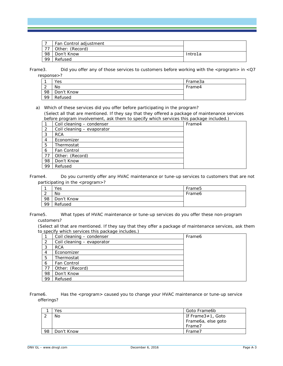|    | Fan Control adjustment |         |
|----|------------------------|---------|
|    | Other: (Record)        |         |
| 98 | Don't Know             | Intro1a |
| 99 | Refused                |         |

Frame 3. Did you offer any of those services to customers before working with the  $\leq$ program $>$  in  $\leq$ Q7 response>?

| ٠           | Yes        | Frame3a |
|-------------|------------|---------|
| $\sim$<br>∼ | No         | Frame4  |
| 98          | Don't Know |         |
| <b>QQ</b>   | Refused    |         |

a) Which of these services did you offer before participating in the program?

(Select *all* that are mentioned. If they say that they offered a package of maintenance services before program involvement, ask them to specify which services this package included.)

|    | Coil cleaning - condenser  | Frame4 |
|----|----------------------------|--------|
| 2  | Coil cleaning - evaporator |        |
| 3  | <b>RCA</b>                 |        |
| 4  | Economizer                 |        |
| 5  | Thermostat                 |        |
| 6  | Fan Control                |        |
| 77 | Other: (Record)            |        |
| 98 | Don't Know                 |        |
| 99 | Refused                    |        |

Frame4. Do you currently offer any HVAC maintenance or tune-up services to customers that are not participating in the <program>?

|    | Yes        | Frame <sub>5</sub> |
|----|------------|--------------------|
| _  | No         | Frame <sub>6</sub> |
| 98 | Don't Know |                    |
| 99 | Refused    |                    |

Frame5. What types of HVAC maintenance or tune-up services do you offer these non-program customers?

(Select all that are mentioned. If they say that they offer a package of maintenance services, ask them to specify which services this package includes.)

|                | Coil cleaning - condenser  | Frame <sub>6</sub> |
|----------------|----------------------------|--------------------|
| -2             | Coil cleaning - evaporator |                    |
| 3              | <b>RCA</b>                 |                    |
| $\overline{4}$ | Economizer                 |                    |
| 5              | Thermostat                 |                    |
| 6              | <b>Fan Control</b>         |                    |
| 77             | Other: (Record)            |                    |
| 98             | Don't Know                 |                    |
| 99             | Refused                    |                    |

Frame6. Has the <program> caused you to change your HVAC maintenance or tune-up service offerings?

|    | Yes        | Goto Frame6b       |
|----|------------|--------------------|
|    | No         | If Frame3≠1, Goto  |
|    |            | Frame6a, else goto |
|    |            | Frame7             |
| 98 | Don't Know | Frame7             |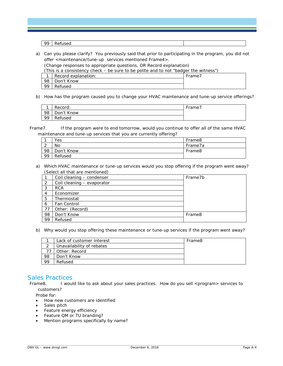99 Refused

a) Can you please clarify? You previously said that prior to participating in the program, you did not offer <maintenance/tune-up services mentioned Frame4>.

(Change responses to appropriate questions, OR Record explanation)

(This is a consistency check – be sure to be polite and to not "badger the witness")

|     | Record explanation: | Frame, |
|-----|---------------------|--------|
| 98  | Don't Know          |        |
| -99 | Refused             |        |

b) How has the program caused you to change your HVAC maintenance and tune-up service offerings?

| $\overline{ }$ | Record:    | Frame, |
|----------------|------------|--------|
| -98            | Don't Know |        |
| -99            | Refused    |        |

Frame7. If the program were to end tomorrow, would you continue to offer all of the same HVAC maintenance and tune-up services that you are currently offering?

|             | <b>Yes</b> | Frame8  |
|-------------|------------|---------|
| $\sim$<br>∸ | No         | Frame7a |
| 98          | Don't Know | Frame8  |
| 99          | Refused    |         |

#### a) Which HVAC maintenance or tune-up services would you stop offering if the program went away? (Select *all* that are mentioned)

|                | Coil cleaning - condenser  | Frame7b            |
|----------------|----------------------------|--------------------|
| 2              | Coil cleaning - evaporator |                    |
| 3              | <b>RCA</b>                 |                    |
| $\overline{4}$ | Economizer                 |                    |
| 5              | Thermostat                 |                    |
| 6              | Fan Control                |                    |
| 77             | Other: (Record)            |                    |
| 98             | Don't Know                 | Frame <sub>8</sub> |
| 99             | Refused                    |                    |

b) Why would you stop offering these maintenance or tune-up services if the program went away?

|    | Lack of customer interest | Frame8 |
|----|---------------------------|--------|
|    | Unavailability of rebates |        |
|    | Other: Record             |        |
| 98 | Don't Know                |        |
| 99 | Refused                   |        |

### Sales Practices

Frame8. I would like to ask about your sales practices. How do you sell <program> services to customers?

Probe for:

- How new customers are identified
- Sales pitch
- Feature energy efficiency
- Feature QM or TU branding?
- Mention programs specifically by name?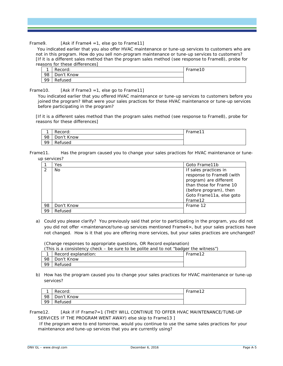Frame9. [Ask if Frame4 =1, else go to Frame11]

You indicated earlier that you also offer HVAC maintenance or tune-up services to customers who are not in this program. How do you sell non-program maintenance or tune-up services to customers? [If it is a different sales method than the program sales method (see response to Frame8), probe for reasons for these differences]

|    | Record:    | Frame10 |
|----|------------|---------|
| 98 | Don't Know |         |
| 99 | Refused    |         |

Frame 10.  $[Ask \text{ if }$  Frame  $3 = 1$ , else go to Frame 11

You indicated earlier that you offered HVAC maintenance or tune-up services to customers *before* you joined the program? What were your sales practices for these HVAC maintenance or tune-up services before participating in the program?

[If it is a different sales method than the program sales method (see response to Frame8), probe for reasons for these differences]

| ◢   | Record:    | Frame11 |
|-----|------------|---------|
| 98  | Don't Know |         |
| -99 | Refused    |         |

Frame11. Has the program caused you to change your sales practices for HVAC maintenance or tuneup services?

|    | Yes        | Goto Frame11b                                                                 |
|----|------------|-------------------------------------------------------------------------------|
| -2 | No.        | If sales practices in<br>response to Frame8 (with<br>program) are different   |
|    |            | than those for Frame 10<br>(before program), then<br>Goto Frame11a, else goto |
|    |            | Frame12                                                                       |
| 98 | Don't Know | Frame 12                                                                      |
| 99 | Refused    |                                                                               |

a) Could you please clarify? You previously said that prior to participating in the program, you did not you did not offer <maintenance/tune-up services mentioned Frame4>, but your sales practices have not changed. How is it that you are offering more services, but your sales practices are unchanged?

(Change responses to appropriate questions, OR Record explanation)

(This is a consistency check – be sure to be polite and to not "badger the witness")

| ◢       | Record explanation: | Frame12 |
|---------|---------------------|---------|
| 98      | Don't Know          |         |
| $\circ$ | Refused             |         |

b) How has the program caused you to change your sales practices for HVAC maintenance or tune-up services?

| ◢   | Record:    | Frame12 |
|-----|------------|---------|
| -98 | Don't Know |         |
| -99 | Refused    |         |

Frame12. [Ask if IF Frame7=1 (THEY WILL CONTINUE TO OFFER HVAC MAINTENANCE/TUNE-UP SERVICES IF THE PROGRAM WENT AWAY) else skip to Frame13 ]

If the program were to end tomorrow, would you continue to use the same sales practices for your maintenance and tune-up services that you are currently using?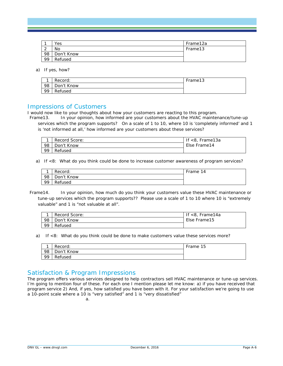|             | Yes        | Frame12a |
|-------------|------------|----------|
| $\sim$<br>∼ | No         | Frame13  |
| 98          | Don't Know |          |
| 99          | Refused    |          |

a) If yes, how?

| $\overline{\phantom{a}}$ | Record:    | Frame13 |
|--------------------------|------------|---------|
| 98                       | Don't Know |         |
| 99                       | Refused    |         |

#### Impressions of Customers

I would now like to your thoughts about how your customers are reacting to this program.<br>Frame13. In your opinion, how informed are your customers about the HVAC mainter

In your opinion, how informed are your customers about the HVAC maintenance/tune-up services which the program supports? On a scale of 1 to 10, where 10 is 'completely informed' and 1 is 'not informed at all,' how informed are your customers about these services?

|     | Record Score: | <8, Frame13a |
|-----|---------------|--------------|
| -98 | Don't Know    | Else Frame14 |
| -99 | Refused       |              |

a) If <8: What do you think could be done to increase customer awareness of program services?

| $\overline{\phantom{a}}$ | Record:    | Frame 14 |
|--------------------------|------------|----------|
| -98                      | Don't Know |          |
| -99                      | Refused    |          |

Frame14. In your opinion, how much do you think your customers value these HVAC maintenance or tune-up services which the program supports?? Please use a scale of 1 to 10 where 10 is "extremely valuable" and 1 is "not valuable at all".

|    | Record Score: | If $<$ 8, Frame14a |
|----|---------------|--------------------|
| 98 | Don't Know    | Else Frame15       |
| 99 | Refused       |                    |

a) If <8: What do you think could be done to make customers value these services more?

| $\overline{\phantom{a}}$ | Record:    | Frame 15 |
|--------------------------|------------|----------|
| -98                      | Don't Know |          |
| -99                      | Refused    |          |

### Satisfaction & Program Impressions

The program offers various services designed to help contractors sell HVAC maintenance or tune-up services. I'm going to mention four of these. For each one I mention please let me know: a) if you have received that program service 2) And, if yes, how satisfied you have been with it. For your satisfaction we're going to use a 10-point scale where a 10 is "very satisfied" and 1 is "very dissatisfied"

a.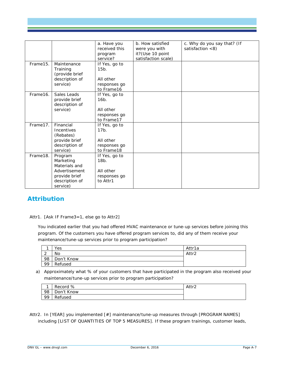|          |                                                                                                       | a. Have you<br>received this<br>program<br>service?                 | b. How satisfied<br>were you with<br>it?(Use 10 point<br>satisfaction scale) | c. Why do you say that? (If<br>satisfaction $<$ 8) |
|----------|-------------------------------------------------------------------------------------------------------|---------------------------------------------------------------------|------------------------------------------------------------------------------|----------------------------------------------------|
| Frame15. | Maintenance<br>Training<br>(provide brief<br>description of<br>service)                               | If Yes, go to<br>$15b$ .<br>All other<br>responses go<br>to Frame16 |                                                                              |                                                    |
| Frame16. | Sales Leads<br>provide brief<br>description of<br>service)                                            | If Yes, go to<br>$16b$ .<br>All other<br>responses go<br>to Frame17 |                                                                              |                                                    |
| Frame17. | Financial<br><b>Incentives</b><br>(Rebates)<br>provide brief<br>description of<br>service)            | If Yes, go to<br>$17b$ .<br>All other<br>responses go<br>to Frame18 |                                                                              |                                                    |
| Frame18. | Program<br>Marketing<br>Materials and<br>Advertisement<br>provide brief<br>description of<br>service) | If Yes, go to<br>$18b$ .<br>All other<br>responses go<br>to Attr1   |                                                                              |                                                    |

# **Attribution**

Attr1. [Ask IF Frame3=1, else go to Attr2]

You indicated earlier that you had offered HVAC maintenance or tune-up services before joining this program. Of the customers you have offered program services to, did any of them receive your maintenance/tune-up services prior to program participation?

| ◢           | Yes        | Attr1a |
|-------------|------------|--------|
| $\sim$<br>∼ | <b>No</b>  | Attr2  |
| 98          | Don't Know |        |
| 99          | Refused    |        |

a) Approximately what % of your customers that have participated in the program also received your maintenance/tune-up services prior to program participation?

| $\overline{ }$ | Record %   | Attr2 |
|----------------|------------|-------|
| 98             | Don't Know |       |
| 99             | Refused    |       |

Attr2. In [YEAR] you implemented [#] maintenance/tune-up measures through [PROGRAM NAMES] including [LIST OF QUANTITIES OF TOP 5 MEASURES]. If these program trainings, customer leads,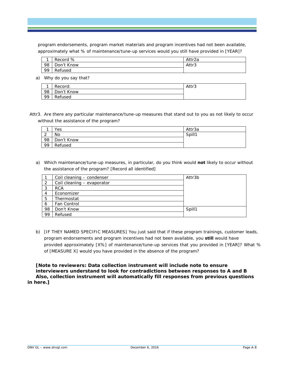program endorsements, program market materials and program incentives had not been available, approximately what % of maintenance/tune-up services would you still have provided in [YEAR]?

| $\overline{ }$ | Record %   | Attr2a |
|----------------|------------|--------|
| -98            | Don't Know | Attr3  |
| -99            | Refused    |        |

a) Why do you say that?

|     | Record:    | Attr3 |
|-----|------------|-------|
| 98  | Don't Know |       |
| -99 | Refused    |       |

Attr3. Are there any particular maintenance/tune-up measures that stand out to you as not likely to occur without the assistance of the program?

|                    | Yes        | Attr3a |
|--------------------|------------|--------|
| $\sim$<br><u>_</u> | No         | Spill1 |
| 98                 | Don't Know |        |
| 99                 | Refused    |        |

a) Which maintenance/tune-up measures, in particular, do you think would *not* likely to occur without the assistance of the program? [Record all identified]

|                | Coil cleaning - condenser  | Attr3b |
|----------------|----------------------------|--------|
| 2              | Coil cleaning - evaporator |        |
| 3              | <b>RCA</b>                 |        |
| $\overline{4}$ | Economizer                 |        |
| 5              | Thermostat                 |        |
| 6              | Fan Control                |        |
| 98             | Don't Know                 | Spill1 |
| 99             | Refused                    |        |
|                |                            |        |

b) [IF THEY NAMED SPECIFIC MEASURES] You just said that if these program trainings, customer leads, program endorsements and program incentives had not been available, you **still** would have provided approximately [X%] of maintenance/tune-up services that you provided in [YEAR]? What % of [MEASURE X] would you have provided in the absence of the program?

**[Note to reviewers: Data collection instrument will include note to ensure interviewers understand to look for contradictions between responses to A and B Also, collection instrument will automatically fill responses from previous questions in here.]**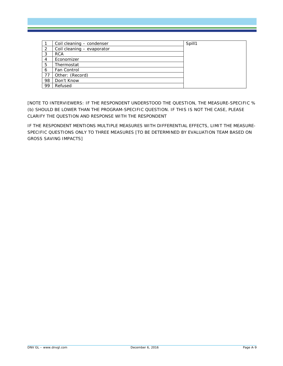|    | Coil cleaning - condenser  | Spill1 |
|----|----------------------------|--------|
| 2  | Coil cleaning - evaporator |        |
| 3  | <b>RCA</b>                 |        |
| 4  | Economizer                 |        |
| 5  | Thermostat                 |        |
| 6  | Fan Control                |        |
| 77 | Other: (Record)            |        |
| 98 | Don't Know                 |        |
| 99 | Refused                    |        |

[NOTE TO INTERVIEWERS: IF THE RESPONDENT UNDERSTOOD THE QUESTION, THE MEASURE-SPECIFIC % (b) SHOULD BE LOWER THAN THE PROGRAM-SPECIFIC QUESTION. IF THIS IS NOT THE CASE, PLEASE CLARIFY THE QUESTION AND RESPONSE WITH THE RESPONDENT

IF THE RESPONDENT MENTIONS MULTIPLE MEASURES WITH DIFFERENTIAL EFFECTS, LIMIT THE MEASURE-SPECIFIC QUESTIONS ONLY TO THREE MEASURES [TO BE DETERMINED BY EVALUATION TEAM BASED ON GROSS SAVING IMPACTS]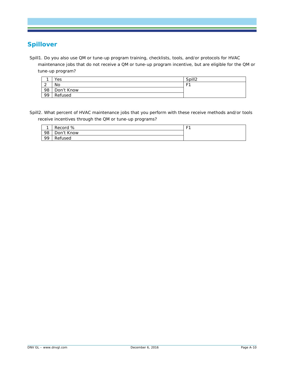# **Spillover**

Spill1. Do you also use QM or tune-up program training, checklists, tools, and/or protocols for HVAC maintenance jobs that do not receive a QM or tune-up program incentive, but are eligible for the QM or tune-up program?

|             | Yes        | Spill <sub>2</sub> |
|-------------|------------|--------------------|
| $\sim$<br>∼ | <b>No</b>  | F1                 |
| 98          | Don't Know |                    |
| 99          | Refused    |                    |

Spill2. What percent of HVAC maintenance jobs that you perform with these receive methods and/or tools receive incentives through the QM or tune-up programs?

| ◢   | Record %   | E. |
|-----|------------|----|
| 98  | Don't Know |    |
| -99 | Refused    |    |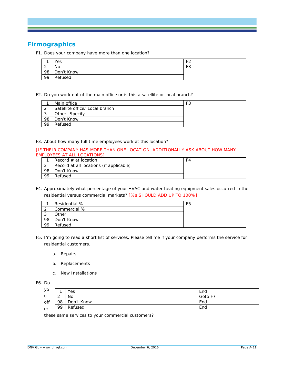# **Firmographics**

F1. Does your company have more than one location?

|             | Yes        | 口つ        |
|-------------|------------|-----------|
| $\sim$<br>∼ | No         | FЗ<br>⊏ ⊃ |
| 98          | Don't Know |           |
| 99          | Refused    |           |

F2. Do you work out of the main office or is this a satellite or local branch?

|    | Main office                    | F3 |
|----|--------------------------------|----|
| ົາ | Satellite office/ Local branch |    |
| 3  | Other: Specify                 |    |
| 98 | Don't Know                     |    |
| 99 | Refused                        |    |

F3. About how many full time employees work at this location?

#### [IF THEIR COMPANY HAS MORE THAN ONE LOCATION, ADDITIONALLY ASK ABOUT HOW MANY EMPLOYEES AT ALL LOCATIONS]

|    | Record $#$ at location                  | F4 |
|----|-----------------------------------------|----|
|    | Record at all locations (if applicable) |    |
| 98 | Don't Know                              |    |
| 99 | Refused                                 |    |

F4. Approximately what percentage of your HVAC and water heating equipment sales occurred in the residential versus commercial markets? [%s SHOULD ADD UP TO 100%]

|         | Residential % | F <sub>5</sub> |
|---------|---------------|----------------|
| $\sim$  | Commercial %  |                |
| ◠<br>ر. | Other         |                |
| 98      | Don't Know    |                |
| 99      | Refused       |                |

- F5. I'm going to read a short list of services. Please tell me if your company performs the service for residential customers.
	- a. Repairs
	- b. Replacements
	- c. New Installations

F6. Do

| уо           |             | Yes        | End     |
|--------------|-------------|------------|---------|
| $\mathsf{u}$ | $\sim$<br>- | No         | Goto F7 |
| off          | 98          | Don't Know | End     |
| er           | 99          | Refused    | End     |
|              |             |            |         |

these same services to your commercial customers?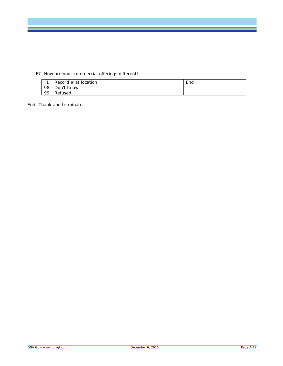### F7. How are your commercial offerings different?

| $\overline{\phantom{a}}$ | Record $#$ at location | End |
|--------------------------|------------------------|-----|
| -98                      | Don't Know             |     |
| -99                      | Refused                |     |

End: Thank and terminate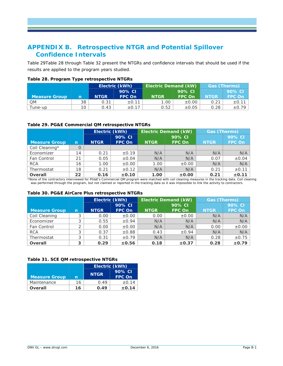# <span id="page-45-0"></span>**APPENDIX B. Retrospective NTGR and Potential Spillover Confidence Intervals**

[Table 29Table 28](#page-45-2) through [Table 32](#page-46-0) present the NTGRs and confidence intervals that should be used if the results are applied to the program years studied.

|                      | - 1 |             |                |                             |               |                     |            |
|----------------------|-----|-------------|----------------|-----------------------------|---------------|---------------------|------------|
|                      |     |             | Electric (kWh) | <b>Electric Demand (kW)</b> |               | <b>Gas (Therms)</b> |            |
|                      |     |             | 90% CI         |                             | 90% CI        |                     | 90% CI     |
| <b>Measure Group</b> | n'  | <b>NTGR</b> | FPC On         | <b>NTGR</b>                 | <b>FPC On</b> | <b>NTGR</b>         | FPC On     |
| <b>QM</b>            | 38  | 0.31        | ±0.11          | 1.00                        | $\pm 0.00$    | 0.21                | $\pm$ 0.11 |
| Tune-up              | 10  | 0.43        | $\pm$ 0.17     | 0.52                        | $\pm 0.05$    | 0.28                | $\pm 0.79$ |

#### <span id="page-45-1"></span>**Table 28. Program Type retrospective NTGRs**

#### <span id="page-45-2"></span>**Table 29. PG&E Commercial QM retrospective NTGRs**

|                      |    | Electric (kWh) |               | <b>Electric Demand (kW)</b> |               | <b>Gas (Therms)</b> |               |
|----------------------|----|----------------|---------------|-----------------------------|---------------|---------------------|---------------|
|                      |    |                | 90% CI        |                             | 90% CI        |                     | 90% CI        |
| <b>Measure Group</b> | n  | <b>NTGR</b>    | <b>FPC On</b> | <b>NTGR</b>                 | <b>FPC On</b> | <b>NTGR</b>         | <b>FPC On</b> |
| Coil Cleaning*       |    |                |               |                             |               |                     |               |
| Economizer           | 14 | 0.21           | $\pm 0.19$    | N/A                         | N/A           | N/A                 | N/A           |
| <b>Fan Control</b>   | 21 | 0.05           | $\pm 0.04$    | N/A                         | N/A           | 0.07                | $\pm 0.04$    |
| <b>RCA</b>           | 16 | 1.00           | $\pm 0.00$    | 1.00                        | $\pm 0.00$    | N/A                 | N/A           |
| Thermostat           | 18 | 0.21           | $\pm$ 0.12    | N/A                         | N/A           | 0.21                | ±0.11         |
| Overall              | 22 | 0.16           | ±0.10         | 1.00                        | ±0.00         | 0.21                | $\pm$ 0.11    |

\*None of the contractors interviewed for PG&E's Commercial QM program were matched with coil cleaning measures in the tracking data. Coil cleaning was performed through the program, but not claimed or reported in the tracking data so it was impossible to link the activity to contractors.

#### <span id="page-45-3"></span>**Table 30. PG&E AirCare Plus retrospective NTGRs**

|                      |             |             | <b>Electric Demand (kW)</b><br>Electric (kWh) |             | <b>Gas (Therms)</b> |             |               |
|----------------------|-------------|-------------|-----------------------------------------------|-------------|---------------------|-------------|---------------|
|                      |             |             | 90% CI                                        |             | 90% CI              |             | 90% CI        |
| <b>Measure Group</b> | $\mathbf n$ | <b>NTGR</b> | <b>FPC On</b>                                 | <b>NTGR</b> | <b>FPC On</b>       | <b>NTGR</b> | <b>FPC On</b> |
| Coil Cleaning        | C           | 0.00        | $\pm 0.00$                                    | 0.00        | $\pm 0.00$          | N/A         | N/A           |
| Economizer           |             | 0.55        | $\pm 0.94$                                    | N/A         | N/A                 | N/A         | N/A           |
| Fan Control          |             | 0.00        | $\pm 0.00$                                    | N/A         | N/A                 | 0.00        | $\pm 0.00$    |
| <b>RCA</b>           | 3           | 0.37        | $\pm 0.88$                                    | 0.43        | $\pm 0.94$          | N/A         | N/A           |
| Thermostat           |             | 0.31        | $\pm 0.79$                                    | N/A         | N/A                 | 0.28        | $\pm 0.75$    |
| Overall              | 3           | 0.29        | $\pm 0.56$                                    | 0.18        | $\pm$ 0.37          | 0.28        | $\pm 0.79$    |

#### <span id="page-45-4"></span>**Table 31. SCE QM retrospective NTGRs**

|                      |    | Electric (kWh) |                         |  |  |
|----------------------|----|----------------|-------------------------|--|--|
| <b>Measure Group</b> | n  | <b>NTGR</b>    | 90% CI<br><b>FPC On</b> |  |  |
| Maintenance          | 16 | 0.49           | ±0.14                   |  |  |
| Overall              | 16 | 0.49           | $\pm 0.14$              |  |  |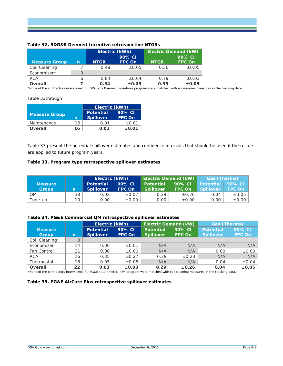|                      |   |             | Electric (kWh)          |             | <b>Electric Demand (kW)</b> |
|----------------------|---|-------------|-------------------------|-------------|-----------------------------|
| <b>Measure Group</b> | n | <b>NTGR</b> | 90% CI<br><b>FPC On</b> | <b>NTGR</b> | 90% CI<br><b>FPC On</b>     |
| Coil Cleaning        |   | 0.48        | $\pm 0.05$              | 0.50        | $\pm 0.05$                  |
| Economizer*          |   |             |                         |             |                             |
| <b>RCA</b>           | 6 | 0.84        | $\pm 0.04$              | 0.79        | $\pm 0.03$                  |
| <b>Overall</b>       |   | 0.54        | $\pm 0.05$              | 0.55        | $\pm 0.05$                  |

#### <span id="page-46-0"></span>**Table 32. SDG&E Deemed Incentive retrospective NTGRs**

\*None of the contractors interviewed for SDG&E's Deemed Incentives program were matched with economizer measures in the tracking data.

#### [Table 33t](#page-46-1)hrough

|                      |    | Electric (kWh)                       |                         |  |  |
|----------------------|----|--------------------------------------|-------------------------|--|--|
| <b>Measure Group</b> | n  | <b>Potential</b><br><b>Spillover</b> | 90% CI<br><b>FPC On</b> |  |  |
| Maintenance          | 16 | 0.01                                 | $\pm 0.01$              |  |  |
| Overall              | 16 | 0.01                                 | $\pm 0.01$              |  |  |

[Table 37](#page-47-2) present the potential spillover estimates and confidence intervals that should be used if the results are applied to future program years.

#### <span id="page-46-1"></span>**Table 33. Program type retrospective spillover estimates**

|                |    | Electric (kWh)   |               | <b>Electric Demand (kW)</b> |               | <b>Gas (Therms)</b> |               |
|----------------|----|------------------|---------------|-----------------------------|---------------|---------------------|---------------|
| <b>Measure</b> |    | <b>Potential</b> | 90% CI        | <b>Potential</b>            | 90% CI        | Potential 90% CI    |               |
| <b>Group</b>   | n  | <b>Spillover</b> | <b>FPC On</b> | <b>Spillover</b>            | <b>FPC On</b> | <b>Spillover</b>    | <b>FPC On</b> |
| <b>QM</b>      | 38 | 0.02             | $\pm 0.02$    | 0.29                        | $\pm 0.26$    | 0.04                | $\pm 0.05$    |
| Tune-up        | 10 | 0.00             | $\pm 0.00$    | 0.00                        | $\pm 0.00$    | 0.00                | $\pm 0.00$    |

#### <span id="page-46-2"></span>**Table 34. PG&E Commercial QM retrospective spillover estimates**

|                                |              | Electric (kWh)                       |                         |                                      | <b>Electric Demand (kW)</b> | <b>Gas (Therms)</b>                  |                         |
|--------------------------------|--------------|--------------------------------------|-------------------------|--------------------------------------|-----------------------------|--------------------------------------|-------------------------|
| <b>Measure</b><br><b>Group</b> | $\mathsf{n}$ | <b>Potential</b><br><b>Spillover</b> | 90% CI<br><b>FPC On</b> | <b>Potential</b><br><b>Spillover</b> | 90% CI<br><b>FPC On</b>     | <b>Potential</b><br><b>Spillover</b> | 90% CI<br><b>FPC On</b> |
| Coil Cleaning*                 |              |                                      |                         |                                      |                             |                                      |                         |
| Economizer                     | 14           | 0.00                                 | $\pm 0.01$              | N/A                                  | N/A                         | N/A                                  | N/A                     |
| <b>Fan Control</b>             | 21           | 0.00                                 | $\pm 0.00$              | N/A                                  | N/A                         | 0.00                                 | $\pm 0.00$              |
| <b>RCA</b>                     | 16           | 0.35                                 | $\pm 0.27$              | 0.29                                 | $\pm 0.23$                  | N/A                                  | N/A                     |
| Thermostat                     | 18           | 0.05                                 | $\pm 0.05$              | N/A                                  | N/A                         | 0.04                                 | $\pm 0.04$              |
| Overall                        | 22           | 0.03                                 | $\pm 0.03$              | 0.29                                 | $\pm 0.26$                  | 0.04                                 | $\pm 0.05$              |

\*None of the contractors interviewed for PG&E's Commercial QM program were matched with coil cleaning measures in the tracking data.

#### <span id="page-46-3"></span>**Table 35. PG&E AirCare Plus retrospective spillover estimates**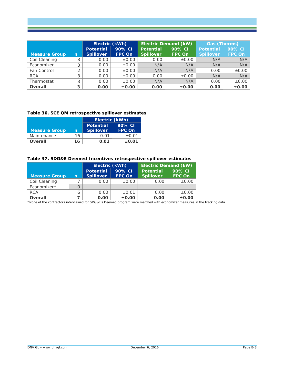**Measure Group** n **Electric (kWh) Electric Demand (kW) Gas (Therms) Potential Spillover 90% CI FPC On Potential Spillover 90% CI FPC On Potential Spillover 90% CI FPC On** Coil Cleaning  $\begin{array}{|c|c|c|c|c|c|}\n\hline\n\text{Col} & 3 & 0.00 & \pm 0.00 & 0.00 & \pm 0.00 & \text{N/A} & \text{N/A} & \text{N/A} & \text{N/A} \\
\hline\n\text{Economnizer} & 3 & 0.00 & \pm 0.00 & \text{N/A} & \text{N/A} & \text{N/A} & \text{N/A} & \text{N/A} \\
\hline\n\end{array}$ Economizer 3 0.00  $\pm 0.00$  N/A N/A N/A N/A N/A<br>Fan Control 2 0.00  $\pm 0.00$  N/A N/A 0.00  $\pm 0.00$ Fan Control  $\begin{vmatrix} 2 & 0.00 & \pm 0.00 & N/A \end{vmatrix}$  N/A  $\begin{vmatrix} 0.00 & \pm 0.00 & \pm 0.00 & \pm 0.00 & \pm 0.00 & \pm 0.00 & \pm 0.00 & \pm 0.00 & \pm 0.00 & \pm 0.00 & \pm 0.00 & \pm 0.00 & \pm 0.00 & \pm 0.00 & \pm 0.00 & \pm 0.00 & \pm 0.00 & \pm 0.00 & \pm 0.00 & \pm 0.00 & \pm 0.0$ RCA | 3 | 0.00 | ±0.00 | 0.00 | ±0.00 | N/A | N/A Thermostat 3 0.00  $\pm 0.00$  N/A N/A 0.00  $\pm 0.00$ **Overall 3 0.00 ±0.00 0.00 ±0.00 0.00 ±0.00**

#### <span id="page-47-0"></span>**Table 36. SCE QM retrospective spillover estimates**

<span id="page-47-2"></span>

|                      |    | <b>Electric (kWh)</b> |               |
|----------------------|----|-----------------------|---------------|
|                      |    | <b>Potential</b>      | 90% CI        |
| <b>Measure Group</b> | n  | <b>Spillover</b>      | <b>FPC On</b> |
| Maintenance          | 16 | 0.01                  | ±0.01         |
| Overall              | 16 | 0.01                  | $\pm 0.01$    |

#### <span id="page-47-1"></span>**Table 37. SDG&E Deemed Incentives retrospective spillover estimates**

|                      |   | Electric (kWh)                       |                         | <b>Electric Demand (kW)</b>          |                         |  |
|----------------------|---|--------------------------------------|-------------------------|--------------------------------------|-------------------------|--|
| <b>Measure Group</b> | n | <b>Potential</b><br><b>Spillover</b> | 90% CI<br><b>FPC On</b> | <b>Potential</b><br><b>Spillover</b> | 90% CI<br><b>FPC On</b> |  |
| Coil Cleaning        |   | 0.00                                 | $\pm 0.00$              | 0.00                                 | $\pm 0.00$              |  |
| Economizer*          |   |                                      |                         |                                      |                         |  |
| <b>RCA</b>           | 6 | 0.00                                 | $\pm 0.01$              | 0.00                                 | $\pm 0.00$              |  |
| <b>Overall</b>       |   | 0.00                                 | ±0.00                   | 0.00                                 | $\pm 0.00$              |  |

\*None of the contractors interviewed for SDG&E's Deemed program were matched with economizer measures in the tracking data.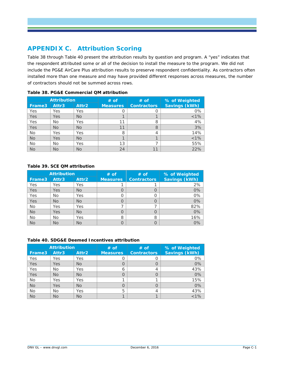# <span id="page-48-0"></span>**APPENDIX C. Attribution Scoring**

[Table 38](#page-48-1) through [Table 40](#page-48-3) present the attribution results by question and program. A "yes" indicates that the respondent attributed some or all of the decision to install the measure to the program. We did not include the PG&E AirCare Plus attribution results to preserve respondent confidentiality. As contractors often installed more than one measure and may have provided different responses across measures, the number of contractors should not be summed across rows.

|           | <b>Attribution</b> |                   | $#$ of          | $#$ of             | % of Weighted |
|-----------|--------------------|-------------------|-----------------|--------------------|---------------|
| Frame3    | Attr3              | Attr <sub>2</sub> | <b>Measures</b> | <b>Contractors</b> | Savings (kWh) |
| Yes       | Yes                | Yes               | O               |                    | 0%            |
| Yes       | Yes                | <b>No</b>         |                 |                    | $< 1\%$       |
| Yes       | No                 | Yes               | 11              | 8                  | 4%            |
| Yes       | <b>No</b>          | <b>No</b>         | 11              | 8                  | 3%            |
| <b>No</b> | Yes                | Yes               | 8               | 4                  | 14%           |
| <b>No</b> | Yes                | <b>No</b>         |                 |                    | $< 1\%$       |
| <b>No</b> | No                 | Yes               | 13              |                    | 55%           |
| <b>No</b> | <b>No</b>          | <b>No</b>         | 24              |                    | 22%           |

#### <span id="page-48-1"></span>**Table 38. PG&E Commercial QM attribution**

#### <span id="page-48-2"></span>**Table 39. SCE QM attribution**

|            | <b>Attribution</b> |           | $#$ of          | $#$ of             | % of Weighted |
|------------|--------------------|-----------|-----------------|--------------------|---------------|
| Frame3     | Attr3              | Attr2     | <b>Measures</b> | <b>Contractors</b> | Savings (kWh) |
| Yes        | Yes                | Yes       |                 |                    | 2%            |
| <b>Yes</b> | Yes                | No.       | O               | O                  | 0%            |
| Yes        | No                 | Yes       | Ω               | Ω                  | $0\%$         |
| Yes        | <b>No</b>          | No.       | O               | O                  | 0%            |
| <b>No</b>  | Yes                | Yes       | ⇁               |                    | 82%           |
| <b>No</b>  | Yes                | <b>No</b> | O               | O                  | 0%            |
| <b>No</b>  | No                 | Yes       | 8               | 8                  | 16%           |
| <b>No</b>  | <b>No</b>          | <b>No</b> | O               | $\Omega$           | 0%            |

#### <span id="page-48-3"></span>**Table 40. SDG&E Deemed Incentives attribution**

|            | <b>Attribution</b> |           | $#$ of           | $#$ of             | % of Weighted        |
|------------|--------------------|-----------|------------------|--------------------|----------------------|
| Frame3     | Attr3              | Attr2     | <b>Measures</b>  | <b>Contractors</b> | <b>Savings (kWh)</b> |
| Yes        | Yes                | Yes       |                  |                    | $0\%$                |
| <b>Yes</b> | Yes                | No.       | O                |                    | 0%                   |
| Yes        | No                 | Yes       | 6                | 4                  | 43%                  |
| Yes        | <b>No</b>          | <b>No</b> | $\left( \right)$ |                    | 0%                   |
| <b>No</b>  | Yes                | Yes       |                  |                    | 15%                  |
| <b>No</b>  | Yes                | No.       | $\left( \right)$ |                    | 0%                   |
| <b>No</b>  | No                 | Yes       | 5                | 4                  | 43%                  |
| <b>No</b>  | <b>No</b>          | <b>No</b> |                  |                    | $< 1\%$              |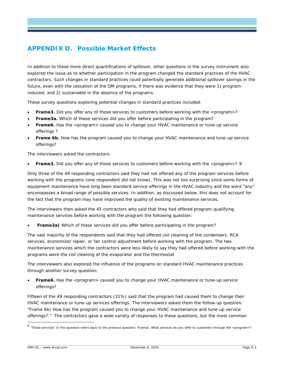# <span id="page-49-0"></span>**APPENDIX D. Possible Market Effects**

In addition to these more direct quantifications of spillover, other questions in the survey instrument also explored the issue as to whether participation in the program changed the standard practices of the HVAC contractors. Such changes in standard practices could potentially generate additional spillover savings in the future, even with the cessation of the QM programs, if there was evidence that they were 1) programinduced; and 2) sustainable in the absence of the programs.

These survey questions exploring potential changes in standard practices included:

- **Frame3.** Did you offer any of those services to customers before working with the <program>?
- **Frame3a.** Which of these services did you offer before participating in the program?
- **Frame6.** Has the <program> caused you to change your HVAC maintenance or tune-up service offerings ?
- **Frame 6b.** How has the program caused you to change your HVAC maintenance and tune-up service offerings?

The interviewers asked the contractors:

• Frame3. Did you offer any of those services to customers before working with the <program>? [9](#page-49-1)

Only three of the 49 responding contractors said they had *not* offered *any* of the program services before working with the programs (one respondent did not know). This was not too surprising since some forms of equipment maintenance have long been standard service offerings in the HVAC industry and the word "any" encompasses a broad range of possible services. In addition, as discussed below, this does not account for the fact that the program may have improved the quality of existing maintenance services.

The interviewers then asked the 45 contractors who said that they had offered program-qualifying maintenance services before working with the program the following question:

**Frame3a)** Which of these services did you offer before participating in the program?

The vast majority of the respondents said that they had offered coil cleaning of the condensers, RCA services, economizer repair, or fan control adjustment before working with the program. The two maintenance services which the contractors were less likely to say they had offered before working with the programs were the coil cleaning of the evaporator and the thermostat

The interviewers also explored the influence of the programs on standard HVAC maintenance practices through another survey question:

• **Frame6.** Has the <program> caused you to change your HVAC maintenance or tune-up service offerings?

Fifteen of the 49 responding contractors (31%) said that the program had caused them to change their HVAC maintenance or tune-up services offerings. The interviewers asked them the follow-up question: "Frame 6b) How has the program caused you to change your HVAC maintenance and tune-up service offerings?." The contractors gave a wide variety of responses to these questions, but the most common

<span id="page-49-1"></span><sup>9 &</sup>quot;Those services" in this question refers back to the previous question: Frame2. What services do you offer to customers through the <program>?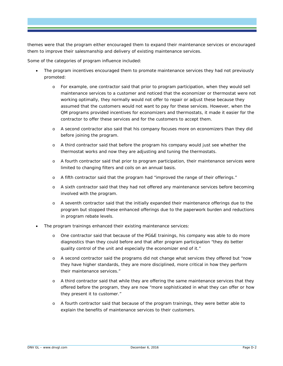themes were that the program either encouraged them to expand their maintenance services or encouraged them to improve their salesmanship and delivery of existing maintenance services.

Some of the categories of program influence included:

- *The program incentives encouraged them to promote maintenance services they had not previously promoted:*
	- o For example, one contractor said that prior to program participation, when they would sell maintenance services to a customer and noticed that the economizer or thermostat were not working optimally, they normally would not offer to repair or adjust these because they assumed that the customers would not want to pay for these services. However, when the QM programs provided incentives for economizers and thermostats, it made it easier for the contractor to offer these services and for the customers to accept them.
	- o A second contractor also said that his company focuses more on economizers than they did before joining the program.
	- o A third contractor said that before the program his company would just see whether the thermostat works and now they are adjusting and tuning the thermostats.
	- o A fourth contractor said that prior to program participation, their maintenance services were limited to changing filters and coils on an annual basis.
	- o A fifth contractor said that the program had "improved the range of their offerings."
	- o A sixth contractor said that they had not offered any maintenance services before becoming involved with the program.
	- o A seventh contractor said that the initially expanded their maintenance offerings due to the program but stopped these enhanced offerings due to the paperwork burden and reductions in program rebate levels.
- *The program trainings enhanced their existing maintenance services:*
	- o One contractor said that because of the PG&E trainings, his company was able to do more diagnostics than they could before and that after program participation "they do better quality control of the unit and especially the economizer end of it."
	- o A second contractor said the programs did not change what services they offered but "now they have higher standards, they are more disciplined, more critical in how they perform their maintenance services."
	- o A third contractor said that while they are offering the same maintenance services that they offered before the program, they are now "more sophisticated in what they can offer or how they present it to customer."
	- o A fourth contractor said that because of the program trainings, they were better able to explain the benefits of maintenance services to their customers.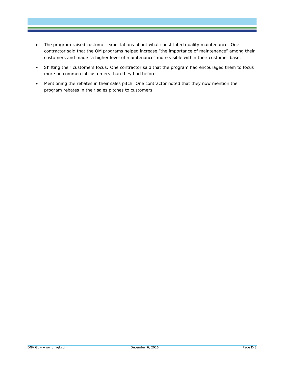- *The program raised customer expectations about what constituted quality maintenance:* One contractor said that the QM programs helped increase "the importance of maintenance" among their customers and made "a higher level of maintenance" more visible within their customer base.
- *Shifting their customers focus:* One contractor said that the program had encouraged them to focus more on commercial customers than they had before.
- *Mentioning the rebates in their sales pitch:* One contractor noted that they now mention the program rebates in their sales pitches to customers.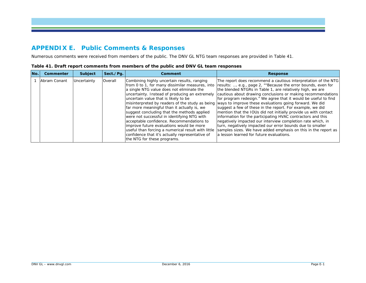# **APPENDIX E. Public Comments & Responses**

Numerous comments were received from members of the public. The DNV GL NTG team responses are provided in Table 41.

<span id="page-52-1"></span><span id="page-52-0"></span>

| No. | Commenter    | <b>Subject</b> | Sect./Pq. | Comment                                                                                                                                                                                                                                                                                                                                                                                                                                                                                                                                                                                                              | <b>Response</b>                                                                                                                                                                                                                                                                                                                                                                                                                                                                                                                                                                                                                                                                                                                                                                                                                                                                     |
|-----|--------------|----------------|-----------|----------------------------------------------------------------------------------------------------------------------------------------------------------------------------------------------------------------------------------------------------------------------------------------------------------------------------------------------------------------------------------------------------------------------------------------------------------------------------------------------------------------------------------------------------------------------------------------------------------------------|-------------------------------------------------------------------------------------------------------------------------------------------------------------------------------------------------------------------------------------------------------------------------------------------------------------------------------------------------------------------------------------------------------------------------------------------------------------------------------------------------------------------------------------------------------------------------------------------------------------------------------------------------------------------------------------------------------------------------------------------------------------------------------------------------------------------------------------------------------------------------------------|
|     | Abram Conant | Uncertainty    | Overall   | Combining highly uncertain results, ranging<br>from 0 to 1, for many dissimilar measures, into<br>a single NTG value does not eliminate the<br>uncertainty. Instead of producing an extremely<br>uncertain value that is likely to be<br>far more meaningful than it actually is, we<br>suggest concluding that the methods applied<br>were not successful in identifying NTG with<br>acceptable confidence. Recommendations to<br>limprove future evaluations would be more<br>useful than forcing a numerical result with little<br>confidence that it's actually representative of<br>the NTG for these programs. | The report does recommend a cautious interpretation of the NTG<br>results:  e.g., page 2, ""Because the error bounds, even for<br>the blended NTGRs in Table 1, are relatively high, we are<br>cautious about drawing conclusions or making recommendations<br>for program redesign." We agree that it would be useful to find<br>misinterpreted by readers of the study as being ways to improve these evaluations going forward. We did<br>suggest a few of these in the report. For example, we did<br>mention that the IOUs did not initially provide us with contact<br>information for the participating HVAC contractors and this<br>negatively impacted our interview completion rate which, in<br>turn, negatively impacted our error bounds due to smaller<br>samples sizes. We have added emphasis on this in the report as<br>la lesson learned for future evaluations. |

| Table 41. Draft report comments from members of the public and DNV GL team responses |  |
|--------------------------------------------------------------------------------------|--|
|--------------------------------------------------------------------------------------|--|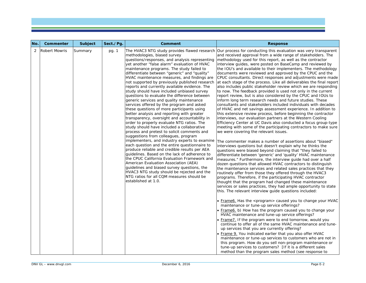| No. | Commenter     | <b>Subject</b> | Sect./Pg. | Comment                                                                                                                                                                                                                                                                                                                                                                                                                                                                                                                                                                                                                                                                                                                                                                                                                                                                                                                                                                                                                                                                                                                                                                                                                                                                                                                                                             | <b>Response</b>                                                                                                                                                                                                                                                                                                                                                                                                                                                                                                                                                                                                                                                                                                                                                                                                                                                                                                                                                                                                                                                                                                                                                                                                                                                                                                                                                                                                                                                                                                                                                                                                                                                                                                                                                                                                                                                                                                                                                                                                                                                                                                                                                                                                                                                                                                                                                                                                                                                                                                                                                                                                                                                                                                                                                                                                                |
|-----|---------------|----------------|-----------|---------------------------------------------------------------------------------------------------------------------------------------------------------------------------------------------------------------------------------------------------------------------------------------------------------------------------------------------------------------------------------------------------------------------------------------------------------------------------------------------------------------------------------------------------------------------------------------------------------------------------------------------------------------------------------------------------------------------------------------------------------------------------------------------------------------------------------------------------------------------------------------------------------------------------------------------------------------------------------------------------------------------------------------------------------------------------------------------------------------------------------------------------------------------------------------------------------------------------------------------------------------------------------------------------------------------------------------------------------------------|--------------------------------------------------------------------------------------------------------------------------------------------------------------------------------------------------------------------------------------------------------------------------------------------------------------------------------------------------------------------------------------------------------------------------------------------------------------------------------------------------------------------------------------------------------------------------------------------------------------------------------------------------------------------------------------------------------------------------------------------------------------------------------------------------------------------------------------------------------------------------------------------------------------------------------------------------------------------------------------------------------------------------------------------------------------------------------------------------------------------------------------------------------------------------------------------------------------------------------------------------------------------------------------------------------------------------------------------------------------------------------------------------------------------------------------------------------------------------------------------------------------------------------------------------------------------------------------------------------------------------------------------------------------------------------------------------------------------------------------------------------------------------------------------------------------------------------------------------------------------------------------------------------------------------------------------------------------------------------------------------------------------------------------------------------------------------------------------------------------------------------------------------------------------------------------------------------------------------------------------------------------------------------------------------------------------------------------------------------------------------------------------------------------------------------------------------------------------------------------------------------------------------------------------------------------------------------------------------------------------------------------------------------------------------------------------------------------------------------------------------------------------------------------------------------------------------------|
| 2   | Robert Mowris | Summary        | pg. 1     | methodologies, biased survey<br>questions/responses, and analysis representing<br>yet another "false alarm" evaluation of HVAC<br>maintenance programs. The study failed to<br>differentiate between "generic" and "quality"<br>HVAC maintenance measures, and findings are<br>not supported by previously published research<br>reports and currently available evidence. The<br>study should have included unbiased survey<br>questions to evaluate the difference between<br>generic services and quality maintenance<br>services offered by the program and asked<br>these questions of more participants using<br>better analysis and reporting with greater<br>transparency, oversight and accountability in<br>order to properly evaluate NTG ratios. The<br>study should have included a collaborative<br>process and pretest to solicit comments and<br>suggestions from colleagues, program<br>implementers, and industry experts to examine<br>each question and the entire questionnaire to<br>produce reliable and credible results per AEA<br>quidelines. Based on the lack of adherence to<br>the CPUC California Evaluation Framework and<br>American Evaluation Association (AEA)<br>quidelines and biased survey questions, the<br>HVAC3 NTG study should be rejected and the<br>NTG ratios for all CQM measures should be<br>established at 1.0. | The HVAC3 NTG study provides flawed research  Our process for conducting this evaluation was very transparent<br>and received approval from a wide range of stakeholders. The<br>methodology used for this report, as well as the contractor<br>interview guides, were posted on BaseCamp and reviewed by<br>the IOU's and available to their implementers. The methodology<br>documents were reviewed and approved by the CPUC and the<br>CPUC consultants. Direct responses and adjustments were made<br>at each stage of the process. Like all deliverables the final report<br>also includes public stakeholder review which we are responding<br>to now. The feedback provided is used not only in the current<br>report review, but is also considered by the CPUC and IOUs to<br>inform long term research needs and future studies. These<br>consultants and stakeholders included individuals with decades<br>of HVAC and net savings assessment experience. In addition to<br>this extensive review process, before beginning the contractor<br>interviews, our evaluation partners at the Western Cooling<br>Efficiency Center at UC Davis also conducted a focus group-type<br>meeting with some of the participating contractors to make sure<br>we were covering the relevant issues.<br>The commenter makes a number of assertions about "biased"<br>interviews questions but doesn't explain why he thinks the<br>questions were biased beyond claiming that "they failed to<br>differentiate between 'generic' and 'quality' HVAC maintenance<br>measures." Furthermore, the interview quide had over a half<br>dozen questions that allowed HVAC contractors to distinguish<br>the maintenance services and related sales practices that they<br>routinely offer from those they offered through the HVAC3<br>programs. Therefore, if the participating HVAC contractor<br>thought that the program had changed these maintenance<br>services or sales practices, they had ample opportunity to state<br>this. The relevant interview guide questions included:<br>• Frame6. Has the <program> caused you to change your HVAC<br/>maintenance or tune-up service offerings?<br/>• Frame6. b) How has the program caused you to change your<br/>HVAC maintenance and tune-up service offerings?<br/>• Frame 7. If the program were to end tomorrow, would you<br/>continue to offer all of the same HVAC maintenance and tune-<br/>up services that you are currently offering?<br/>. Frame 9. You indicated earlier that you also offer HVAC<br/>maintenance or tune-up services to customers who are not in<br/>this program. How do you sell non-program maintenance or<br/>tune-up services to customers? [If it is a different sales<br/>method than the program sales method (see response to</program> |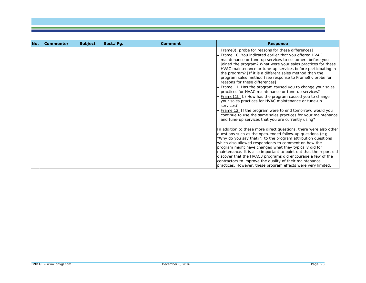| No. | Commenter | Subject | Sect./Pg. | Comment | <b>Response</b>                                                                                                                                                                                                                                                                                                                                                                                                                                                                                                                                                                                                                                                                                                                                                                                                                                                                                              |
|-----|-----------|---------|-----------|---------|--------------------------------------------------------------------------------------------------------------------------------------------------------------------------------------------------------------------------------------------------------------------------------------------------------------------------------------------------------------------------------------------------------------------------------------------------------------------------------------------------------------------------------------------------------------------------------------------------------------------------------------------------------------------------------------------------------------------------------------------------------------------------------------------------------------------------------------------------------------------------------------------------------------|
|     |           |         |           |         | Frame8), probe for reasons for these differences]<br>• Frame 10. You indicated earlier that you offered HVAC<br>maintenance or tune-up services to customers before you<br>joined the program? What were your sales practices for these<br>HVAC maintenance or tune-up services before participating in<br>the program? [If it is a different sales method than the<br>program sales method (see response to Frame8), probe for<br>reasons for these differences]<br>• Frame 11. Has the program caused you to change your sales<br>practices for HVAC maintenance or tune-up services?<br>• Frame11b. b) How has the program caused you to change<br>your sales practices for HVAC maintenance or tune-up<br>services?<br>. Frame 12. If the program were to end tomorrow, would you<br>continue to use the same sales practices for your maintenance<br>and tune-up services that you are currently using? |
|     |           |         |           |         | In addition to these more direct questions, there were also other<br>questions such as the open-ended follow-up questions (e.g.<br>"Why do you say that?") to the program attribution questions<br>which also allowed respondents to comment on how the<br>program might have changed what they typically did for<br>maintenance. It is also important to point out that the report did<br>discover that the HVAC3 programs did encourage a few of the<br>contractors to improve the quality of their maintenance<br>practices. However, these program effects were very limited.                                                                                                                                                                                                                                                                                                                            |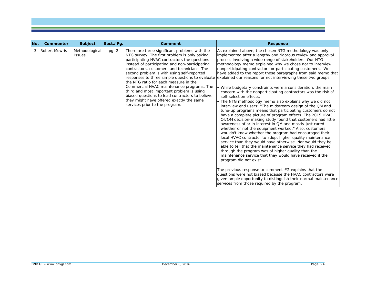| No. | Commenter                             | Subject        | Sect./Pq. | <b>Comment</b>                                                                                                                                                                                                                                                                                                                                                                                                                                                                                                                                                   | <b>Response</b>                                                                                                                                                                                                                                                                                                                                                                                                                                                                                                                                                                                                                                                                                                                                                                                                                                                                                                                                                                                                                                                                                                                                                                                                                                                                                                                                                                                                                                                                                                                                                                                                                                                                                                                           |
|-----|---------------------------------------|----------------|-----------|------------------------------------------------------------------------------------------------------------------------------------------------------------------------------------------------------------------------------------------------------------------------------------------------------------------------------------------------------------------------------------------------------------------------------------------------------------------------------------------------------------------------------------------------------------------|-------------------------------------------------------------------------------------------------------------------------------------------------------------------------------------------------------------------------------------------------------------------------------------------------------------------------------------------------------------------------------------------------------------------------------------------------------------------------------------------------------------------------------------------------------------------------------------------------------------------------------------------------------------------------------------------------------------------------------------------------------------------------------------------------------------------------------------------------------------------------------------------------------------------------------------------------------------------------------------------------------------------------------------------------------------------------------------------------------------------------------------------------------------------------------------------------------------------------------------------------------------------------------------------------------------------------------------------------------------------------------------------------------------------------------------------------------------------------------------------------------------------------------------------------------------------------------------------------------------------------------------------------------------------------------------------------------------------------------------------|
| 3   | <b>Robert Mowris</b><br><b>Issues</b> | Methodological | pg. 2     | There are three significant problems with the<br>NTG survey. The first problem is only asking<br>participating HVAC contractors the questions<br>instead of participating and non-participating<br>contractors, customers and technicians. The<br>second problem is with using self-reported<br>the NTG ratio for each measure in the<br>Commercial HVAC maintenance programs. The<br>third and most important problem is using<br>biased questions to lead contractors to believe<br>they might have offered exactly the same<br>services prior to the program. | As explained above, the chosen NTG methodology was only<br>implemented after a lengthy and rigorous review and approval<br>process involving a wide range of stakeholders. Our NTG<br>methodology memo explained why we chose not to interview<br>nonparticipating contractors or participating customers. We<br>have added to the report those paragraphs from said memo that<br>responses to three simple questions to evaluate explained our reasons for not interviewing these two groups:<br>• While budgetary constraints were a consideration, the main<br>concern with the nonparticipating contractors was the risk of<br>self-selection effects.<br>• The NTG methodology memo also explains why we did not<br>interview end users: "The midstream design of the QM and<br>tune-up programs means that participating customers do not<br>have a complete picture of program effects. The 2015 HVAC<br>QI/QM decision-making study found that customers had little<br>awareness of or in interest in QM and mostly just cared<br>whether or not the equipment worked." Also, customers<br>wouldn't know whether the program had encouraged their<br>local HVAC contractor to adopt higher quality maintenance<br>service than they would have otherwise. Nor would they be<br>able to tell that the maintenance service they had received<br>through the program was of higher quality than the<br>maintenance service that they would have received if the<br>program did not exist.<br>The previous response to comment #2 explains that the<br>questions were not biased because the HVAC contractors were<br>given ample opportunity to distinguish their normal maintenance<br>services from those required by the program. |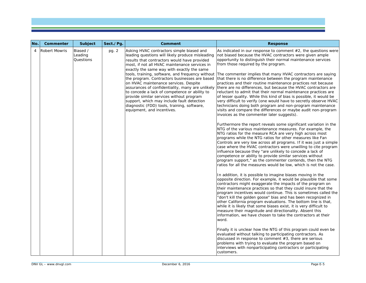| No. | Commenter            | <b>Subject</b>                   | Sect./Pg | <b>Comment</b>                                                                                                                                                                                                                                                                                                                                                                                                                                                                                                                                                 | <b>Response</b>                                                                                                                                                                                                                                                                                                                                                                                                                                                                                                                                                                                                                                                                                                                                                                                                                                                                                                                                                                                                                                                        |
|-----|----------------------|----------------------------------|----------|----------------------------------------------------------------------------------------------------------------------------------------------------------------------------------------------------------------------------------------------------------------------------------------------------------------------------------------------------------------------------------------------------------------------------------------------------------------------------------------------------------------------------------------------------------------|------------------------------------------------------------------------------------------------------------------------------------------------------------------------------------------------------------------------------------------------------------------------------------------------------------------------------------------------------------------------------------------------------------------------------------------------------------------------------------------------------------------------------------------------------------------------------------------------------------------------------------------------------------------------------------------------------------------------------------------------------------------------------------------------------------------------------------------------------------------------------------------------------------------------------------------------------------------------------------------------------------------------------------------------------------------------|
| 4   | <b>Robert Mowris</b> | Biased /<br>Leading<br>Questions | pg. 2    | Asking HVAC contractors simple biased and<br>leading questions will likely produce misleading<br>results that contractors would have provided<br>most, if not all HVAC maintenance services in<br>exactly the same way with exactly the same<br>the program. Contractors businesses are based<br>on HVAC maintenance services. Despite<br>to concede a lack of competence or ability to<br>provide similar services without program<br>support, which may include fault detection<br>diagnostic (FDD) tools, training, software,<br>equipment, and incentives. | As indicated in our response to comment $#2$ , the questions were<br>not biased because the HVAC contractors were given ample<br>opportunity to distinguish their normal maintenance services<br>from those required by the program.<br>tools, training, software, and frequency without The commenter implies that many HVAC contractors are saying<br>that there is no difference between the program maintenance<br>practices and their routine maintenance practices not because<br>assurances of confidentiality, many are unlikely there are no differences, but because the HVAC contractors are<br>reluctant to admit that their normal maintenance practices are<br>of lesser quality. While this kind of bias is possible, it would be<br>very difficult to verify (one would have to secretly observe HVAC<br>technicians doing both program and non-program maintenance<br>visits and compare the differences or maybe audit non-program<br>invoices as the commenter later suggests).<br>Furthermore the report reveals some significant variation in the |
|     |                      |                                  |          |                                                                                                                                                                                                                                                                                                                                                                                                                                                                                                                                                                | NTG of the various maintenance measures. For example, the<br>NTG ratios for the measure RCA are very high across most<br>programs while the NTG ratios for other measures like Fan<br>Controls are very low across all programs. If it was just a simple<br>case where the HVAC contractors were unwilling to cite program<br>influence because they "are unlikely to concede a lack of<br>competence or ability to provide similar services without<br>program support," as the commenter contends, then the NTG<br>ratios for all the measures would be low, which is not the case.                                                                                                                                                                                                                                                                                                                                                                                                                                                                                  |
|     |                      |                                  |          |                                                                                                                                                                                                                                                                                                                                                                                                                                                                                                                                                                | In addition, it is possible to imagine biases moving in the<br>opposite direction. For example, it would be plausible that some<br>contractors might exaggerate the impacts of the program on<br>their maintenance practices so that they could insure that the<br>program incentives would continue. This is sometimes called the<br>"don't kill the golden goose" bias and has been recognized in<br>other California program evaluations. The bottom line is that,<br>while it is likely that some biases exist, it is very difficult to<br>measure their magnitude and directionality. Absent this<br>information, we have chosen to take the contractors at their<br>word.                                                                                                                                                                                                                                                                                                                                                                                        |
|     |                      |                                  |          |                                                                                                                                                                                                                                                                                                                                                                                                                                                                                                                                                                | Finally it is unclear how the NTG of this program could even be<br>evaluated without talking to participating contractors. As<br>discussed in response to comment $#3$ , there are serious<br>problems with trying to evaluate the program based on<br>interviews with nonparticipating contractors or participating<br>customers.                                                                                                                                                                                                                                                                                                                                                                                                                                                                                                                                                                                                                                                                                                                                     |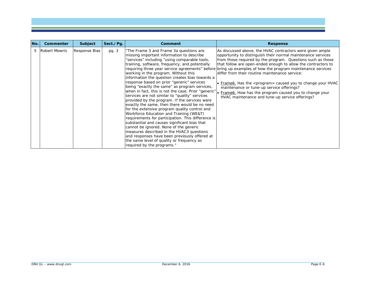| No. | Commenter       | Subject       | Sect./Pg. | Comment                                                                                                                                                                                                                                                                                                                                                                                                                                                                                                                                                                                                                                                                                                                                                                                                                                                                                                                                                                                                           | Response                                                                                                                                                                                                                                                                                                                                                                                                                                                                                                                                                                                                                                                       |
|-----|-----------------|---------------|-----------|-------------------------------------------------------------------------------------------------------------------------------------------------------------------------------------------------------------------------------------------------------------------------------------------------------------------------------------------------------------------------------------------------------------------------------------------------------------------------------------------------------------------------------------------------------------------------------------------------------------------------------------------------------------------------------------------------------------------------------------------------------------------------------------------------------------------------------------------------------------------------------------------------------------------------------------------------------------------------------------------------------------------|----------------------------------------------------------------------------------------------------------------------------------------------------------------------------------------------------------------------------------------------------------------------------------------------------------------------------------------------------------------------------------------------------------------------------------------------------------------------------------------------------------------------------------------------------------------------------------------------------------------------------------------------------------------|
|     | 5 Robert Mowris | Response Bias | pg. 3     | "The Frame 3 and Frame 3a questions are<br>missing important information to describe<br>"services" including "using comparable tools,<br>training, software, frequency, and potentially<br>working in the program. Without this<br>information the question creates bias towards a<br>response based on prior "generic" services<br>being "exactly the same" as program services,<br>when in fact, this is not the case. Prior "generic"<br>services are not similar to "quality" services<br>provided by the program. If the services were<br>exactly the same, then there would be no need<br>for the extensive program quality control and<br>Workforce Education and Training (WE&T)<br>requirements for participation. This difference is<br>substantial and causes significant bias that<br>cannot be ignored. None of the generic<br>measures described in the HVAC3 questions<br>and responses have been previously offered at<br>the same level of quality or frequency as<br>required by the programs." | As discussed above, the HVAC contractors were given ample<br>opportunity to distinguish their normal maintenance services<br>from those required by the program. Questions such as those<br>that follow are open-ended enough to allow the contractors to<br>requiring three year service agreements" before bring up examples of how the program maintenance services<br>differ from their routine maintenance service:<br>• Frame6. Has the <program> caused you to change your HVAC<br/>maintenance or tune-up service offerings?<br/>• Frame6. How has the program caused you to change your<br/>HVAC maintenance and tune-up service offerings?</program> |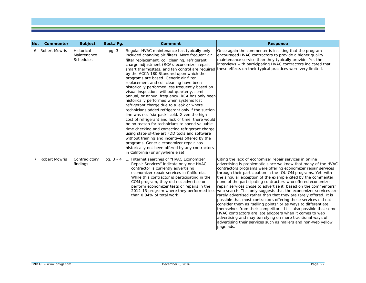| No.            | Commenter            | Subject                                       | Sect./Pg.   | Comment                                                                                                                                                                                                                                                                                                                                                                                                                                                                                                                                                                                                                                                                                                                                                                                                                                                                                                                                                                                                                                                                             | <b>Response</b>                                                                                                                                                                                                                                                                                                                                                                                                                                                                                                                                                                                                                                                                                                                                                                                                                                                                                                                                                                                                                                                 |
|----------------|----------------------|-----------------------------------------------|-------------|-------------------------------------------------------------------------------------------------------------------------------------------------------------------------------------------------------------------------------------------------------------------------------------------------------------------------------------------------------------------------------------------------------------------------------------------------------------------------------------------------------------------------------------------------------------------------------------------------------------------------------------------------------------------------------------------------------------------------------------------------------------------------------------------------------------------------------------------------------------------------------------------------------------------------------------------------------------------------------------------------------------------------------------------------------------------------------------|-----------------------------------------------------------------------------------------------------------------------------------------------------------------------------------------------------------------------------------------------------------------------------------------------------------------------------------------------------------------------------------------------------------------------------------------------------------------------------------------------------------------------------------------------------------------------------------------------------------------------------------------------------------------------------------------------------------------------------------------------------------------------------------------------------------------------------------------------------------------------------------------------------------------------------------------------------------------------------------------------------------------------------------------------------------------|
| 6              | <b>Robert Mowris</b> | Historical<br>Maintenance<br><b>Schedules</b> | pg. 3       | Regular HVAC maintenance has typically only<br>included changing air filters. More frequent air<br>filter replacement, coil cleaning, refrigerant<br>charge adjustment (RCA), economizer repair,<br>by the ACCA 180 Standard upon which the<br>programs are based. Generic air filter<br>replacement and coil cleaning have been<br>historically performed less frequently based on<br>visual inspections without quarterly, semi-<br>annual, or annual frequency. RCA has only been<br>historically performed when systems lost<br>refrigerant charge due to a leak or where<br>technicians added refrigerant only if the suction<br>line was not "six-pack" cold. Given the high<br>cost of refrigerant and lack of time, there would<br>be no reason for technicians to spend valuable<br>time checking and correcting refrigerant charge<br>using state-of-the-art FDD tools and software<br>without training and incentives offered by the<br>programs. Generic economizer repair has<br>historically not been offered by any contractors<br>in California (or anywhere else). | Once again the commenter is insisting that the program<br>encouraged HVAC contractors to provide a higher quality<br>maintenance service than they typically provide. Yet the<br>interviews with participating HVAC contractors indicated that<br>smart thermostats, and fan control are required these effects on their typical practices were very limited.                                                                                                                                                                                                                                                                                                                                                                                                                                                                                                                                                                                                                                                                                                   |
| $\overline{7}$ | <b>Robert Mowris</b> | Contradictory<br>findings                     | pg. $3 - 4$ | Internet searches of "HVAC Economizer<br>Repair Services" indicate only one HVAC<br>contractor is currently advertising<br>economizer repair services in California.<br>While this contractor is participating in the<br>CQM program, they did not advertise or<br>perform economizer tests or repairs in the<br>than 0.04% of total work.                                                                                                                                                                                                                                                                                                                                                                                                                                                                                                                                                                                                                                                                                                                                          | Citing the lack of economizer repair services in online<br>advertising is problematic since we know that many of the HVAC<br>contractors programs were offering economizer repair services<br>through their participation in the IOU QM programs. Yet, with<br>the singular exception of the example cited by the commenter,<br>none of the participating contractors who offered economizer<br>repair services chose to advertise it, based on the commenters'<br>2012-13 program where they performed less web search. This only suggests that the economizer services are<br>rarely advertised rather than that they are rarely offered. It is<br>possible that most contractors offering these services did not<br>consider them as "selling points" or as ways to differentiate<br>themselves from their competitors. It is also possible that some<br>HVAC contractors are late adopters when it comes to web<br>advertising and may be relying on more traditional ways of<br>advertising their services such as mailers and non-web yellow<br>page ads. |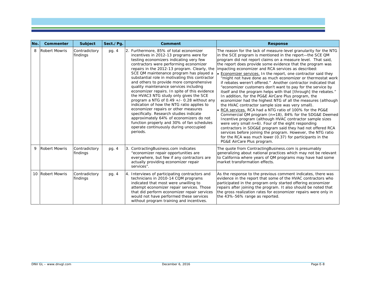| No. | Commenter            | Subject                   | Sect./Pg | Comment                                                                                                                                                                                                                                                                                                                                                                                                                                                                                                                                                                                                                                                                                                                                                                                                                               | <b>Response</b>                                                                                                                                                                                                                                                                                                                                                                                                                                                                                                                                                                                                                                                                                                                                                                                                                                                                                                                                                                                                                                                                                                                                                                                                                                                                                      |
|-----|----------------------|---------------------------|----------|---------------------------------------------------------------------------------------------------------------------------------------------------------------------------------------------------------------------------------------------------------------------------------------------------------------------------------------------------------------------------------------------------------------------------------------------------------------------------------------------------------------------------------------------------------------------------------------------------------------------------------------------------------------------------------------------------------------------------------------------------------------------------------------------------------------------------------------|------------------------------------------------------------------------------------------------------------------------------------------------------------------------------------------------------------------------------------------------------------------------------------------------------------------------------------------------------------------------------------------------------------------------------------------------------------------------------------------------------------------------------------------------------------------------------------------------------------------------------------------------------------------------------------------------------------------------------------------------------------------------------------------------------------------------------------------------------------------------------------------------------------------------------------------------------------------------------------------------------------------------------------------------------------------------------------------------------------------------------------------------------------------------------------------------------------------------------------------------------------------------------------------------------|
| 8   | <b>Robert Mowris</b> | Contradictory<br>findings | pg. 4    | 2. Furthermore, 85% of total economizer<br>incentives in 2012-13 programs were for<br>testing economizers indicating very few<br>contractors were performing economizer<br>repairs in the 2012-13 program. Clearly, the<br>SCE QM maintenance program has played a<br>substantial role in motivating this contractor<br>and others to provide more comprehensive<br>quality maintenance services including<br>economizer repairs. In spite of this evidence<br>the HVAC3 NTG study only gives the SCE<br>program a NTG of 0.49 $+/-$ 0.28 without any<br>indication of how the NTG ratio applies to<br>economizer repairs or other measures<br>specifically. Research studies indicate<br>approximately 64% of economizers do not<br>function properly and 30% of fan schedules<br>operate continuously during unoccupied<br>periods. | The reason for the lack of measure-level granularity for the NTG<br>in the SCE program is mentioned in the report-the SCE QM<br>program did not report claims on a measure level. That said,<br>the report does provide some evidence that the program was<br>impacting economizer and RCA services as described:<br>• Economizer services. In the report, one contractor said they<br>"might not have done as much economizer or thermostat work<br>if rebates weren't offered." Another contractor indicated that<br>"economizer customers don't want to pay for the service by<br>itself and the program helps with that [through] the rebates."<br>In addition, for the PG&E AirCare Plus program, the<br>economizer had the highest NTG of all the measures (although<br>the HVAC contractor sample size was very small).<br>• RCA services. RCA had a NTG ratio of 100% for the PG&E<br>Commercial QM program $(n=18)$ , 84% for the SDG&E Deemed<br>Incentive program (although HVAC contractor sample sizes<br>were very small $n=6$ ). Four of the eight responding<br>contractors in SDG&E program said they had not offered RCA<br>services before joining the program. However, the NTG ratio<br>for the RCA was much lower (0.37) for participants in the<br>PG&E AirCare Plus program. |
| 9   | <b>Robert Mowris</b> | Contradictory<br>findings | pg. 4    | 3. ContractingBusiness.com indicates<br>"economizer repair opportunities are<br>everywhere, but few if any contractors are<br>actually providing economizer repair<br>services".                                                                                                                                                                                                                                                                                                                                                                                                                                                                                                                                                                                                                                                      | The quote from ContractingBusiness.com is presumably<br>generalizing about national practices which may not be relevant<br>to California where years of QM programs may have had some<br>market transformation effects.                                                                                                                                                                                                                                                                                                                                                                                                                                                                                                                                                                                                                                                                                                                                                                                                                                                                                                                                                                                                                                                                              |
|     | 10 Robert Mowris     | Contradictory<br>findings | pg. 4    | 4. Interviews of participating contractors and<br>technicians in 2010-14 CQM programs<br>indicated that most were unwilling to<br>attempt economizer repair services. Those<br>that did perform economizer repair services<br>would not have performed these services<br>without program training and incentives.                                                                                                                                                                                                                                                                                                                                                                                                                                                                                                                     | As the response to the previous comment indicates, there was<br>evidence in the report that some of the HVAC contractors who<br>participated in the program only started offering economizer<br>repairs after joining the program. It also should be noted that<br>the gross realization rates for economizer repairs were only in<br>the 43%-56% range as reported.                                                                                                                                                                                                                                                                                                                                                                                                                                                                                                                                                                                                                                                                                                                                                                                                                                                                                                                                 |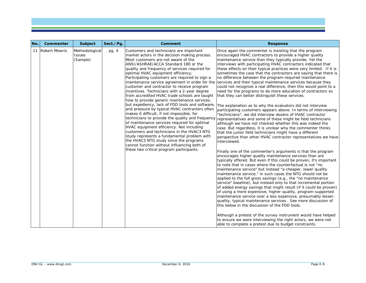| No. | Commenter        | <b>Subject</b>                              | Sect./Pq. | <b>Comment</b>                                                                                                                                                                                                                                                                                                                                                                                                                                                                                                                                                                                                                                                                                                                                                                                                                                                                                                                                                                                    | <b>Response</b>                                                                                                                                                                                                                                                                                                                                                                                                                                                                                                                                                                                                                                                                                                                                                                                                                                                                                                                                                                                                                                                                                                                                                                                                                                                                                                                                                                                                                                                                                                                                                                                                                                                                                                                                                                                                                                                                                                                                                                                                                                                                                                                                                                                                                                                                                                                                                                                        |
|-----|------------------|---------------------------------------------|-----------|---------------------------------------------------------------------------------------------------------------------------------------------------------------------------------------------------------------------------------------------------------------------------------------------------------------------------------------------------------------------------------------------------------------------------------------------------------------------------------------------------------------------------------------------------------------------------------------------------------------------------------------------------------------------------------------------------------------------------------------------------------------------------------------------------------------------------------------------------------------------------------------------------------------------------------------------------------------------------------------------------|--------------------------------------------------------------------------------------------------------------------------------------------------------------------------------------------------------------------------------------------------------------------------------------------------------------------------------------------------------------------------------------------------------------------------------------------------------------------------------------------------------------------------------------------------------------------------------------------------------------------------------------------------------------------------------------------------------------------------------------------------------------------------------------------------------------------------------------------------------------------------------------------------------------------------------------------------------------------------------------------------------------------------------------------------------------------------------------------------------------------------------------------------------------------------------------------------------------------------------------------------------------------------------------------------------------------------------------------------------------------------------------------------------------------------------------------------------------------------------------------------------------------------------------------------------------------------------------------------------------------------------------------------------------------------------------------------------------------------------------------------------------------------------------------------------------------------------------------------------------------------------------------------------------------------------------------------------------------------------------------------------------------------------------------------------------------------------------------------------------------------------------------------------------------------------------------------------------------------------------------------------------------------------------------------------------------------------------------------------------------------------------------------------|
|     | 11 Robert Mowris | Methodological<br><b>Issues</b><br>(Sample) | pg. 4     | Customers and technicians are important<br>market actors in the decision making process.<br>Most customers are not aware of the<br>ANSI/ASHRAE/ACCA Standard 180 or the<br>quality and frequency of services required for<br>optimal HVAC equipment efficiency.<br>Participating customers are required to sign a<br>customer and contractor to receive program<br>incentives. Technicians with a 2-year degree<br>from accredited HVAC trade schools are taught<br>how to provide generic maintenance services,<br>but expediency, lack of FDD tools and software,<br>and pressure by typical HVAC contractors often<br>makes it difficult, if not impossible, for<br>of maintenance services required for optimal<br>HVAC equipment efficiency. Not including<br>customers and technicians in the HVAC3 NTG<br>study represents a fundamental problem with<br>the HVAC3 NTG study since the programs<br>cannot function without influencing both of<br>these two critical program participants. | Once again the commenter is insisting that the program<br>encouraged HVAC contractors to provide a higher quality<br>maintenance service than they typically provide. Yet the<br>interviews with participating HVAC contractors indicated that<br>these effects on their typical practices were very limited. If it is<br>sometimes the case that the contractors are saying that there is<br>no difference between the program-required maintenance<br>maintenance service agreement in order for the services and their typical maintenance services because they<br>could not recognize a real difference, then this would point to a<br>need for the programs to do more education of contractors so<br>that they can better distinguish these services.<br>The explanation as to why the evaluators did not interview<br>participating customers appears above. In terms of interviewing<br>"technicians", we did interview dozens of HVAC contractor<br>technicians to provide the quality and frequency representatives and some of these might be field technicians<br>although we have not checked whether this was indeed the<br>case. But regardless, it is unclear why the commenter thinks<br>that the junior field technicians might have a different<br>perspective than other HVAC contractor representatives we have<br>interviewed.<br>Finally one of the commenter's arguments is that the program<br>encourages higher quality maintenance services than are<br>typically offered. But even if this could be proven, it's important<br>to note that in cases where the counterfactual is not "no<br>maintenance service" but instead "a cheaper, lower quality<br>maintenance service," in such cases the NTG should not be<br>applied to the full gross savings (e.g., the "no maintenance<br>service" baseline), but instead only to that incremental portion<br>of added energy savings that might result (if it could be proven)<br>of using a more expensive, higher-quality, program-supported<br>maintenance service over a less expensive, presumably lesser-<br>quality, typical maintenance services. See more discussion of<br>this below in the discussion of the FDD tools.<br>Although a pretest of the survey instrument would have helped<br>to ensure we were interviewing the right actors, we were not<br>able to complete a pretest due to budget constraints. |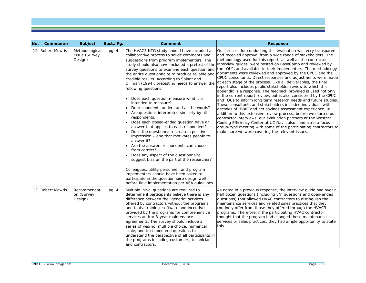| No. | Commenter        | <b>Subject</b>                                    | Sect./Pg. | Comment                                                                                                                                                                                                                                                                                                                                                                                                                                                                                                                                                                                                                                                                                                                                                                                                                                                                                                                                                                                                                                                                                        | <b>Response</b>                                                                                                                                                                                                                                                                                                                                                                                                                                                                                                                                                                                                                                                                                                                                                                                                                                                                                                                                                                                                                                                                                                                                                                                                                                                                                                |
|-----|------------------|---------------------------------------------------|-----------|------------------------------------------------------------------------------------------------------------------------------------------------------------------------------------------------------------------------------------------------------------------------------------------------------------------------------------------------------------------------------------------------------------------------------------------------------------------------------------------------------------------------------------------------------------------------------------------------------------------------------------------------------------------------------------------------------------------------------------------------------------------------------------------------------------------------------------------------------------------------------------------------------------------------------------------------------------------------------------------------------------------------------------------------------------------------------------------------|----------------------------------------------------------------------------------------------------------------------------------------------------------------------------------------------------------------------------------------------------------------------------------------------------------------------------------------------------------------------------------------------------------------------------------------------------------------------------------------------------------------------------------------------------------------------------------------------------------------------------------------------------------------------------------------------------------------------------------------------------------------------------------------------------------------------------------------------------------------------------------------------------------------------------------------------------------------------------------------------------------------------------------------------------------------------------------------------------------------------------------------------------------------------------------------------------------------------------------------------------------------------------------------------------------------|
|     | 12 Robert Mowris | Methodological<br><b>Issue (Survey</b><br>Design) | pg. 4     | The HVAC3 NTG study should have included a<br>collaborative process to solicit comments and<br>suggestions from program implementers. The<br>survey questions to examine each question and<br>the entire questionnaire to produce reliable and<br>credible results. According to Salant and<br>Dillman (1994), pretesting needs to answer the<br>following questions.<br>• Does each question measure what it is<br>intended to measure?<br>Do respondents understand all the words?<br>Are questions interpreted similarly by all<br>respondents.<br>Does each closed-ended question have an<br>answer that applies to each respondent?<br>Does the questionnaire create a positive<br>impression - one that motivates people to<br>answer it?<br>• Are the answers respondents can choose<br>from correct?<br>Does any aspect of the questionnaire<br>suggest bias on the part of the researcher?<br>Colleagues, utility personnel, and program<br>implementers should have been asked to<br>participate in the questionnaire design well<br>before field implementation per AEA guidelines. | Our process for conducting this evaluation was very transparent<br>and received approval from a wide range of stakeholders. The<br>methodology used for this report, as well as the contractor<br>study should also have included a pretest of the interview guides, were posted on BaseCamp and reviewed by<br>the IOU's and available to their implementers. The methodology<br>documents were reviewed and approved by the CPUC and the<br>CPUC consultants. Direct responses and adjustments were made<br>at each stage of the process. Like all deliverables, the final<br>report also includes public stakeholder review to which this<br>appendix is a response. The feedback provided is used not only<br>in the current report review, but is also considered by the CPUC<br>and IOUs to inform long term research needs and future studies.<br>These consultants and stakeholders included individuals with<br>decades of HVAC and net savings assessment experience. In<br>addition to this extensive review process, before we started our<br>contractor interviews, our evaluation partners at the Western<br>Cooling Efficiency Center at UC Davis also conducted a focus<br>group-type meeting with some of the participating contractors to<br>make sure we were covering the relevant issues. |
|     | 13 Robert Mowris | Recommendati<br>on (Survey<br>Design)             | pg. 4     | Multiple initial questions are required to<br>determine if participants believe there is any<br>difference between the "generic" services<br>offered by contractors without the programs<br>and tools, training, software and incentives<br>provided by the programs for comprehensive<br>services and/or 3-year maintenance<br>agreements. The survey should include a<br>series of yes/no, multiple choice, numerical<br>scale, and text open end questions to<br>understand the perspective of all participants in<br>the programs including customers, technicians,<br>and contractors.                                                                                                                                                                                                                                                                                                                                                                                                                                                                                                    | As noted in a previous response, the interview quide had over a<br>half dozen questions (including y/n questions and open-ended<br>questions) that allowed HVAC contractors to distinguish the<br>maintenance services and related sales practices that they<br>routinely offer from those they offered through the HVAC3<br>programs. Therefore, if the participating HVAC contractor<br>thought that the program had changed these maintenance<br>services or sales practices, they had ample opportunity to state<br>this.                                                                                                                                                                                                                                                                                                                                                                                                                                                                                                                                                                                                                                                                                                                                                                                  |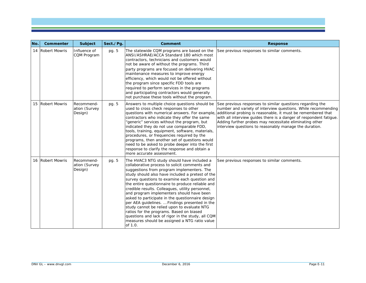| No. | Commenter        | Subject                                | Sect./Pg. | Comment                                                                                                                                                                                                                                                                                                                                                                                                                                                                                                                                                                                                                                                                                                               | <b>Response</b>                                                                                                                                                                                                                                                                                                                                                                       |
|-----|------------------|----------------------------------------|-----------|-----------------------------------------------------------------------------------------------------------------------------------------------------------------------------------------------------------------------------------------------------------------------------------------------------------------------------------------------------------------------------------------------------------------------------------------------------------------------------------------------------------------------------------------------------------------------------------------------------------------------------------------------------------------------------------------------------------------------|---------------------------------------------------------------------------------------------------------------------------------------------------------------------------------------------------------------------------------------------------------------------------------------------------------------------------------------------------------------------------------------|
|     | 14 Robert Mowris | Influence of<br>CQM Program            | pg. 5     | The statewide CQM programs are based on the<br>ANSI/ASHRAE/ACCA Standard 180 which most<br>contractors, technicians and customers would<br>not be aware of without the programs. Third<br>party programs are focused on delivering HVAC<br>maintenance measures to improve energy<br>efficiency, which would not be offered without<br>the program since specific FDD tools are<br>required to perform services in the programs<br>and participating contractors would generally<br>not purchase these tools without the program.                                                                                                                                                                                     | See previous responses to similar comments.                                                                                                                                                                                                                                                                                                                                           |
|     | 15 Robert Mowris | Recommend-<br>ation (Survey<br>Design) | pg. 5     | Answers to multiple choice questions should be<br>used to cross check responses to other<br>questions with numerical answers. For example,<br>contractors who indicate they offer the same<br>'generic" services without the program, but<br>indicated they do not use comparable FDD,<br>tools, training, equipment, software, materials,<br>procedures, or frequencies required by the<br>programs, then another set of questions would<br>need to be asked to probe deeper into the first<br>response to clarify the response and obtain a<br>more accurate assessment.                                                                                                                                            | See previous responses to similar questions regarding the<br>number and variety of interview questions. While recommending<br>additional probing is reasonable, it must be remembered that<br>with all interview guides there is a danger of respondent fatigue.<br>Adding further probes may necessitate eliminating other<br>interview questions to reasonably manage the duration. |
|     | 16 Robert Mowris | Recommend-<br>ation (Survey<br>Design) | pg. 5     | The HVAC3 NTG study should have included a<br>collaborative process to solicit comments and<br>suggestions from program implementers. The<br>study should also have included a pretest of the<br>survey questions to examine each question and<br>the entire questionnaire to produce reliable and<br>credible results. Colleagues, utility personnel,<br>and program implementers should have been<br>asked to participate in the questionnaire design<br>per AEA guidelines.  Findings presented in the<br>study cannot be relied upon to evaluate NTG<br>ratios for the programs. Based on biased<br>questions and lack of rigor in the study, all CQM<br>measures should be assigned a NTG ratio value<br>of 1.0. | See previous responses to similar comments.                                                                                                                                                                                                                                                                                                                                           |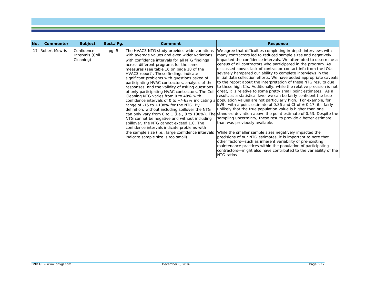| No. | Commenter        | Subject                                    | Sect./Pg. | Comment                                                                                                                                                                                                                                                                                                                                                                                                                                                                                                                                                                                                                                                                                                                                                                                                                                                                      | <b>Response</b>                                                                                                                                                                                                                                                                                                                                                                                                                                                                                                                                                                                                                                                                                                                                                                                                                                                                                                                                                                                                                                                                                                                                                                                                                                                                                                                                                                                                                                                                                                                                                                                  |
|-----|------------------|--------------------------------------------|-----------|------------------------------------------------------------------------------------------------------------------------------------------------------------------------------------------------------------------------------------------------------------------------------------------------------------------------------------------------------------------------------------------------------------------------------------------------------------------------------------------------------------------------------------------------------------------------------------------------------------------------------------------------------------------------------------------------------------------------------------------------------------------------------------------------------------------------------------------------------------------------------|--------------------------------------------------------------------------------------------------------------------------------------------------------------------------------------------------------------------------------------------------------------------------------------------------------------------------------------------------------------------------------------------------------------------------------------------------------------------------------------------------------------------------------------------------------------------------------------------------------------------------------------------------------------------------------------------------------------------------------------------------------------------------------------------------------------------------------------------------------------------------------------------------------------------------------------------------------------------------------------------------------------------------------------------------------------------------------------------------------------------------------------------------------------------------------------------------------------------------------------------------------------------------------------------------------------------------------------------------------------------------------------------------------------------------------------------------------------------------------------------------------------------------------------------------------------------------------------------------|
|     | 17 Robert Mowris | Confidence<br>Intervals (Coil<br>Cleaning) | pg. 5     | The HVAC3 NTG study provides wide variations<br>with average values and even wider variations<br>with confidence intervals for all NTG findings<br>across different programs for the same<br>measures (see table 16 on page 18 of the<br>HVAC3 report). These findings indicate<br>significant problems with questions asked of<br>participating HVAC contractors, analysis of the<br>responses, and the validity of asking questions<br>of only participating HVAC contractors. The Coil<br>Cleaning NTG varies from 0 to 48% with<br>range of $-15$ to $+108\%$ for the NTG. By<br>definition, without including spillover the NTG<br>NTG cannot be negative and without including<br>spillover, the NTG cannot exceed 1.0. The<br>confidence intervals indicate problems with<br>the sample size (i.e., large confidence intervals<br>indicate sample size is too small). | We agree that difficulties completing in-depth interviews with<br>many contractors led to reduced sample sizes and negatively<br>impacted the confidence intervals. We attempted to determine a<br>census of all contractors who participated in the program. As<br>discussed above, lack of contractor contact info from the IOUs<br>severely hampered our ability to complete interviews in the<br>initial data collection efforts. We have added appropriate caveats<br>to the report about the interpretation of these NTG results due<br>to these high CIs. Additionally, while the relative precision is not<br>great, it is relative to some pretty small point estimates. As a<br>result, at a statistical level we can be fairly confident the true<br>confidence intervals of 0 to +/-63% indicating a population values are not particularly high. For example, for<br>kWh, with a point estimate of 0.36 and CI of $\pm$ 0.17, it's fairly<br>unlikely that the true population value is higher than one<br>can only vary from 0 to 1 (i.e., 0 to 100%). The standard deviation above the point estimate of 0.53. Despite the<br>sampling uncertainty, these results provide a better estimate<br>than was previously available.<br>While the smaller sample sizes negatively impacted the<br>precisions of our NTG estimates, it is important to note that<br>other factors-such as inherent variability of pre-existing<br>maintenance practices within the population of participating<br>contractors—might also have contributed to the variability of the<br><b>NTG</b> ratios. |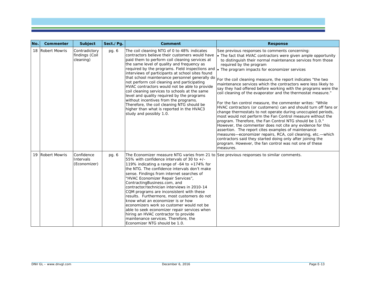| No. | Commenter        | <b>Subject</b>                               | Sect./Pg. | Comment                                                                                                                                                                                                                                                                                                                                                                                                                                                                                                                                                                                                                                                                                                                                                     | <b>Response</b>                                                                                                                                                                                                                                                                                                                                                                                                                                                                                                                                                                                                                                                                                                                                                                                                                                                                                                                                                                                                                                                                                                                                                                              |
|-----|------------------|----------------------------------------------|-----------|-------------------------------------------------------------------------------------------------------------------------------------------------------------------------------------------------------------------------------------------------------------------------------------------------------------------------------------------------------------------------------------------------------------------------------------------------------------------------------------------------------------------------------------------------------------------------------------------------------------------------------------------------------------------------------------------------------------------------------------------------------------|----------------------------------------------------------------------------------------------------------------------------------------------------------------------------------------------------------------------------------------------------------------------------------------------------------------------------------------------------------------------------------------------------------------------------------------------------------------------------------------------------------------------------------------------------------------------------------------------------------------------------------------------------------------------------------------------------------------------------------------------------------------------------------------------------------------------------------------------------------------------------------------------------------------------------------------------------------------------------------------------------------------------------------------------------------------------------------------------------------------------------------------------------------------------------------------------|
|     | 18 Robert Mowris | Contradictory<br>findings (Coil<br>cleaning) | pg. 6     | The coil cleaning NTG of 0 to 48% indicates<br>contractors believe their customers would have<br>paid them to perform coil cleaning services at<br>the same level of quality and frequency as<br>required by the programs. Field inspections and $\cdot$ The program impacts for economizer services<br>interviews of participants at school sites found<br>not perform coil cleaning and participating<br>HVAC contractors would not be able to provide<br>coil cleaning services to schools at the same<br>level and quality required by the programs<br>without incentives from the programs.<br>Therefore, the coil cleaning NTG should be<br>higher than what is reported in the HVAC3<br>study and possibly 1.0.                                      | See previous responses to comments concerning:<br>• The fact that HVAC contractors were given ample opportunity<br>to distinguish their normal maintenance services from those<br>required by the program<br>that school maintenance personnel generally do $ F_{\text{Of}} $ the coil cleaning measure, the report indicates "the two<br>maintenance services which the contractors were less likely to<br>say they had offered before working with the programs were the<br>coil cleaning of the evaporator and the thermostat measure."<br>For the fan control measure, the commenter writes: "While<br>HVAC contractors (or customers) can and should turn off fans or<br>change thermostats to not operate during unoccupied periods,<br>most would not perform the Fan Control measure without the<br>program. Therefore, the Fan Control NTG should be 1.0."<br>However, the commenter does not cite any evidence for this<br>assertion. The report cites examples of maintenance<br>measures—economizer repairs, RCA, coil cleaning, etc.—which<br>contractors said they started doing only after joining the<br>program. However, the fan control was not one of these<br>measures. |
|     | 19 Robert Mowris | Confidence<br>Intervals<br>(Economizer)      | pg. 6     | The Economizer measure NTG varies from 21 to See previous responses to similar comments.<br>55% with confidence intervals of 30 to $+/-$<br>119% indicating a range of $-64$ to $+174%$ for<br>the NTG. The confidence intervals don't make<br>sense. Findings from internet searches of<br>"HVAC Economizer Repair Services",<br>ContractingBusiness.com, and<br>contractor/technician interviews in 2010-14<br>CQM programs are inconsistent with these<br>results. Furthermore, most customers do not<br>know what an economizer is or how<br>economizers work so customer would not be<br>able to seek economizer repair services when<br>hiring an HVAC contractor to provide<br>maintenance services. Therefore, the<br>Economizer NTG should be 1.0. |                                                                                                                                                                                                                                                                                                                                                                                                                                                                                                                                                                                                                                                                                                                                                                                                                                                                                                                                                                                                                                                                                                                                                                                              |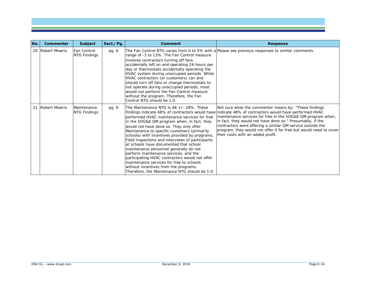| No. | Commenter        | Subject                     | Sect./Pg. | Comment                                                                                                                                                                                                                                                                                                                                                                                                                                                                                                                                                                                                                                                       | <b>Response</b>                                                                                                                                                                                                                                                                                                                                                                                                                                                     |
|-----|------------------|-----------------------------|-----------|---------------------------------------------------------------------------------------------------------------------------------------------------------------------------------------------------------------------------------------------------------------------------------------------------------------------------------------------------------------------------------------------------------------------------------------------------------------------------------------------------------------------------------------------------------------------------------------------------------------------------------------------------------------|---------------------------------------------------------------------------------------------------------------------------------------------------------------------------------------------------------------------------------------------------------------------------------------------------------------------------------------------------------------------------------------------------------------------------------------------------------------------|
|     | 20 Robert Mowris | Fan Control<br>NTG Findings | pg. 6     | range of -3 to 13%. The Fan Control measure<br>involves contractors turning off fans<br>accidentally left on and operating 24-hours per<br>day or thermostats accidentally operating the<br>HVAC system during unoccupied periods. While<br>HVAC contractors (or customers) can and<br>should turn off fans or change thermostats to<br>not operate during unoccupied periods, most<br>would not perform the Fan Control measure<br>without the program. Therefore, the Fan<br>Control NTG should be 1.0.                                                                                                                                                     | The Fan Control NTG varies from 0 to 5% with a Please see previous responses to similar comments.                                                                                                                                                                                                                                                                                                                                                                   |
|     | 21 Robert Mowris | Maintenance<br>NTG Findings | pg. 6     | The Maintenance NTG is 48 +/- 28%. These<br>performed HVAC maintenance services for free<br>in the SDG&E QM program when, in fact, they<br>would not have done so. They only offer<br>Maintenance to specific customers (primarily<br>schools) with incentives provided by programs.<br>Field inspections and interviews of participants<br>at schools have documented that school<br>maintenance personnel generally do not<br>perform maintenance services, and the<br>participating HVAC contractors would not offer<br>maintenance services for free to schools<br>without incentives from the programs.<br>Therefore, the Maintenance NTG should be 1.0. | Not sure what the commenter means by: "These findings<br>findings indicate 48% of contractors would have lindicate 48% of contractors would have performed HVAC<br>maintenance services for free in the SDG&E QM program when,<br>in fact, they would not have done so." Presumably, if the<br>contractors were offering a similar QM service outside the<br>program, they would not offer it for free but would need to cover<br>their costs with an added profit. |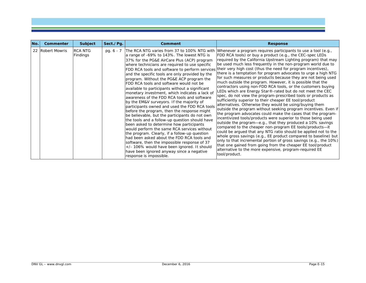| No. | Commenter        | Subject                    | Sect./Pq.   | Comment                                                                                                                                                                                                                                                                                                                                                                                                                                                                                                                                                                                                                                                                                                                                                                                                                                                                                                                                                                                                                                                      | <b>Response</b>                                                                                                                                                                                                                                                                                                                                                                                                                                                                                                                                                                                                                                                                                                                                                                                                                                                                                                                                                                                                                                                                                                                                                                                                                                                                                                                                                                                                                                                                                                                                                                                                               |
|-----|------------------|----------------------------|-------------|--------------------------------------------------------------------------------------------------------------------------------------------------------------------------------------------------------------------------------------------------------------------------------------------------------------------------------------------------------------------------------------------------------------------------------------------------------------------------------------------------------------------------------------------------------------------------------------------------------------------------------------------------------------------------------------------------------------------------------------------------------------------------------------------------------------------------------------------------------------------------------------------------------------------------------------------------------------------------------------------------------------------------------------------------------------|-------------------------------------------------------------------------------------------------------------------------------------------------------------------------------------------------------------------------------------------------------------------------------------------------------------------------------------------------------------------------------------------------------------------------------------------------------------------------------------------------------------------------------------------------------------------------------------------------------------------------------------------------------------------------------------------------------------------------------------------------------------------------------------------------------------------------------------------------------------------------------------------------------------------------------------------------------------------------------------------------------------------------------------------------------------------------------------------------------------------------------------------------------------------------------------------------------------------------------------------------------------------------------------------------------------------------------------------------------------------------------------------------------------------------------------------------------------------------------------------------------------------------------------------------------------------------------------------------------------------------------|
|     | 22 Robert Mowris | <b>RCA NTG</b><br>Findings | pg. $6 - 7$ | a range of -69% to 143%. The lowest NTG is<br>37% for the PG&E AirCare Plus (ACP) program<br>where technicians are required to use specific<br>and the specific tools are only provided by the<br>program. Without the PG&E ACP program the<br>FDD RCA tools and software would not be<br>available to participants without a significant<br>monetary investment, which indicates a lack of<br>awareness of the FDD RCA tools and software<br>by the EM&V surveyors. If the majority of<br>participants owned and used the FDD RCA tools<br>before the program, then the response might<br>be believable, but the participants do not own<br>the tools and a follow-up question should have<br>been asked to determine how participants<br>would perform the same RCA services without<br>the program. Clearly, if a follow-up question<br>had been asked about the FDD RCA tools and<br>software, then the impossible response of 37<br>+/- 106% would have been ignored. It should<br>have been ignored anyway since a negative<br>response is impossible. | The RCA NTG varies from 37 to 100% NTG with Whenever a program requires participants to use a tool (e.g.,<br>FDD RCA tools) or buy a product (e.g., the CEC-spec LEDs<br>required by the California Upstream Lighting program) that may<br>be used much less frequently in the non-program world due to<br>FDD RCA tools and software to perform services their very high cost (thus the need for program incentives),<br>there is a temptation for program advocates to urge a high NTG<br>for such measures or products because they are not being used<br>much outside the program. However, it is possible that the<br>contractors using non-FDD RCA tools, or the customers buying<br>LEDs which are Energy Star®-rated but do not meet the CEC<br>spec, do not view the program-prescribed tools or products as<br>sufficiently superior to their cheaper EE tool/product<br>alternatives. Otherwise they would be using/buying them<br>outside the program without seeking program incentives. Even if<br>the program advocates could make the cases that the program-<br>incentivized tools/products were superior to those being used<br>outside the program-e.g., that they produced a 10% savings<br>compared to the cheaper non-program EE tools/products-it<br>could be argued that any NTG ratio should be applied not to the<br>whole gross savings (e.g., EE product compared to baseline) but<br>only to that incremental portion of gross savings (e.g., the 10%)<br>that one gained from going from the cheaper EE tool/product<br>alternative to the more expensive, program-required EE<br>tool/product. |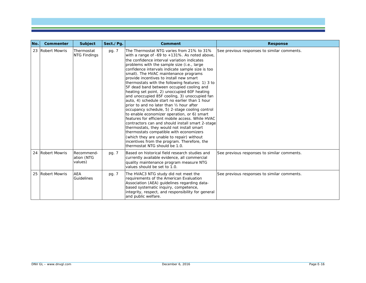| No. | <b>Commenter</b> | Subject                             | Sect./Pg. | Comment                                                                                                                                                                                                                                                                                                                                                                                                                                                                                                                                                                                                                                                                                                                                                                                                                                                                                                                                                                                                                                                         | <b>Response</b>                             |
|-----|------------------|-------------------------------------|-----------|-----------------------------------------------------------------------------------------------------------------------------------------------------------------------------------------------------------------------------------------------------------------------------------------------------------------------------------------------------------------------------------------------------------------------------------------------------------------------------------------------------------------------------------------------------------------------------------------------------------------------------------------------------------------------------------------------------------------------------------------------------------------------------------------------------------------------------------------------------------------------------------------------------------------------------------------------------------------------------------------------------------------------------------------------------------------|---------------------------------------------|
|     | 23 Robert Mowris | Thermostat<br><b>NTG Findings</b>   | pg. 7     | The Thermostat NTG varies from 21% to 31%<br>with a range of -69 to +131%. As noted above,<br>the confidence interval variation indicates<br>problems with the sample size (i.e., large<br>confidence intervals indicate sample size is too<br>small). The HVAC maintenance programs<br>provide incentives to install new smart<br>thermostats with the following features: 1) 3 to<br>5F dead band between occupied cooling and<br>heating set point, 2) unoccupied 60F heating<br>and unoccupied 85F cooling, 3) unoccupied fan<br>auto, 4) schedule start no earlier than 1 hour<br>prior to and no later than 1/2 hour after<br>occupancy schedule, 5) 2-stage cooling control<br>to enable economizer operation, or 6) smart<br>Ifeatures for efficient mobile access. While HVAC<br>contractors can and should install smart 2-stage<br>thermostats, they would not install smart<br>thermostats compatible with economizers<br>(which they are unable to repair) without<br>incentives from the program. Therefore, the<br>thermostat NTG should be 1.0. | See previous responses to similar comments. |
|     | 24 Robert Mowris | Recommend-<br>ation (NTG<br>values) | pg. 7     | Based on historical field research studies and<br>currently available evidence, all commercial<br>quality maintenance program measure NTG<br>values should be set to 1.0.                                                                                                                                                                                                                                                                                                                                                                                                                                                                                                                                                                                                                                                                                                                                                                                                                                                                                       | See previous responses to similar comments. |
|     | 25 Robert Mowris | <b>AEA</b><br>Guidelines            | pg. 7     | The HVAC3 NTG study did not meet the<br>requirements of the American Evaluation<br>Association (AEA) guidelines regarding data-<br>based systematic inquiry, competence,<br>integrity, respect, and responsibility for general<br>and public welfare.                                                                                                                                                                                                                                                                                                                                                                                                                                                                                                                                                                                                                                                                                                                                                                                                           | See previous responses to similar comments. |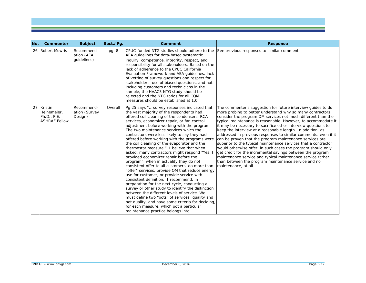| No. | Commenter                                                             | <b>Subject</b>                          | Sect./Pg. | Comment                                                                                                                                                                                                                                                                                                                                                                                                                                                                                                                                                                                                                                                                                                                                                                                                                                                                                                                                                                                                                                                                                                                                                     | <b>Response</b>                                                                                                                                                                                                                                                                                                                                                                                                                                                                                                                                                                                                                                                                                                                                                                                                                                                         |
|-----|-----------------------------------------------------------------------|-----------------------------------------|-----------|-------------------------------------------------------------------------------------------------------------------------------------------------------------------------------------------------------------------------------------------------------------------------------------------------------------------------------------------------------------------------------------------------------------------------------------------------------------------------------------------------------------------------------------------------------------------------------------------------------------------------------------------------------------------------------------------------------------------------------------------------------------------------------------------------------------------------------------------------------------------------------------------------------------------------------------------------------------------------------------------------------------------------------------------------------------------------------------------------------------------------------------------------------------|-------------------------------------------------------------------------------------------------------------------------------------------------------------------------------------------------------------------------------------------------------------------------------------------------------------------------------------------------------------------------------------------------------------------------------------------------------------------------------------------------------------------------------------------------------------------------------------------------------------------------------------------------------------------------------------------------------------------------------------------------------------------------------------------------------------------------------------------------------------------------|
|     | 26 Robert Mowris                                                      | Recommend-<br>ation (AEA<br>quidelines) | pg. 8     | CPUC-funded NTG studies should adhere to the<br>AEA quidelines for data-based systematic<br>linguiry, competence, integrity, respect, and<br>responsibility for all stakeholders. Based on the<br>lack of adherence to the CPUC California<br>Evaluation Framework and AEA guidelines, lack<br>of vetting of survey questions and respect for<br>stakeholders, use of biased questions, and not<br>including customers and technicians in the<br>sample, the HVAC3 NTG study should be<br>rejected and the NTG ratios for all CQM<br>Imeasures should be established at 1.0.                                                                                                                                                                                                                                                                                                                                                                                                                                                                                                                                                                                | See previous responses to similar comments.                                                                                                                                                                                                                                                                                                                                                                                                                                                                                                                                                                                                                                                                                                                                                                                                                             |
| 27  | <b>Kristin</b><br>Heinemeier,<br>Ph.D., P.E.,<br><b>ASHRAE Fellow</b> | Recommend-<br>ation (Survey<br>Design)  | Overall   | Pg 25 says " survey responses indicated that<br>the vast majority of the respondents had<br>offered coil cleaning of the condensers, RCA<br>services, economizer repair, or fan control<br>adjustment before working with the program.<br>The two maintenance services which the<br>contractors were less likely to say they had<br>offered before working with the programs were<br>the coil cleaning of the evaporator and the<br>thermostat measure." I believe that when<br>asked, many contractors might respond "Yes, I<br>provided economizer repair before the<br>program", when in actuality they do not<br>consistent offer to all customers, do more than<br>'offer" services, provide QM that reduce energy<br>use for customer, or provide service with<br>consistent definition. I recommend, in<br>preparation for the next cycle, conducting a<br>survey or other study to identify the distinction<br>between the different levels of service. We<br>must define two "pots" of services: quality and<br>not quality, and have some criteria for deciding<br>for each measure, which pot a particular<br>maintenance practice belongs into. | The commenter's suggestion for future interview guides to do<br>more probing to better understand why so many contractors<br>consider the program QM services not much different than their<br>typical maintenance is reasonable. However, to accommodate it,<br>it may be necessary to sacrifice other interview questions to<br>keep the interview at a reasonable length. In addition, as<br>addressed in previous responses to similar comments, even if it<br>can be proven that the program maintenance services are<br>superior to the typical maintenance services that a contractor<br>would otherwise offer, in such cases the program should only<br>get credit for the incremental savings between the program<br>maintenance service and typical maintenance service rather<br>than between the program maintenance service and no<br>maintenance, at all. |